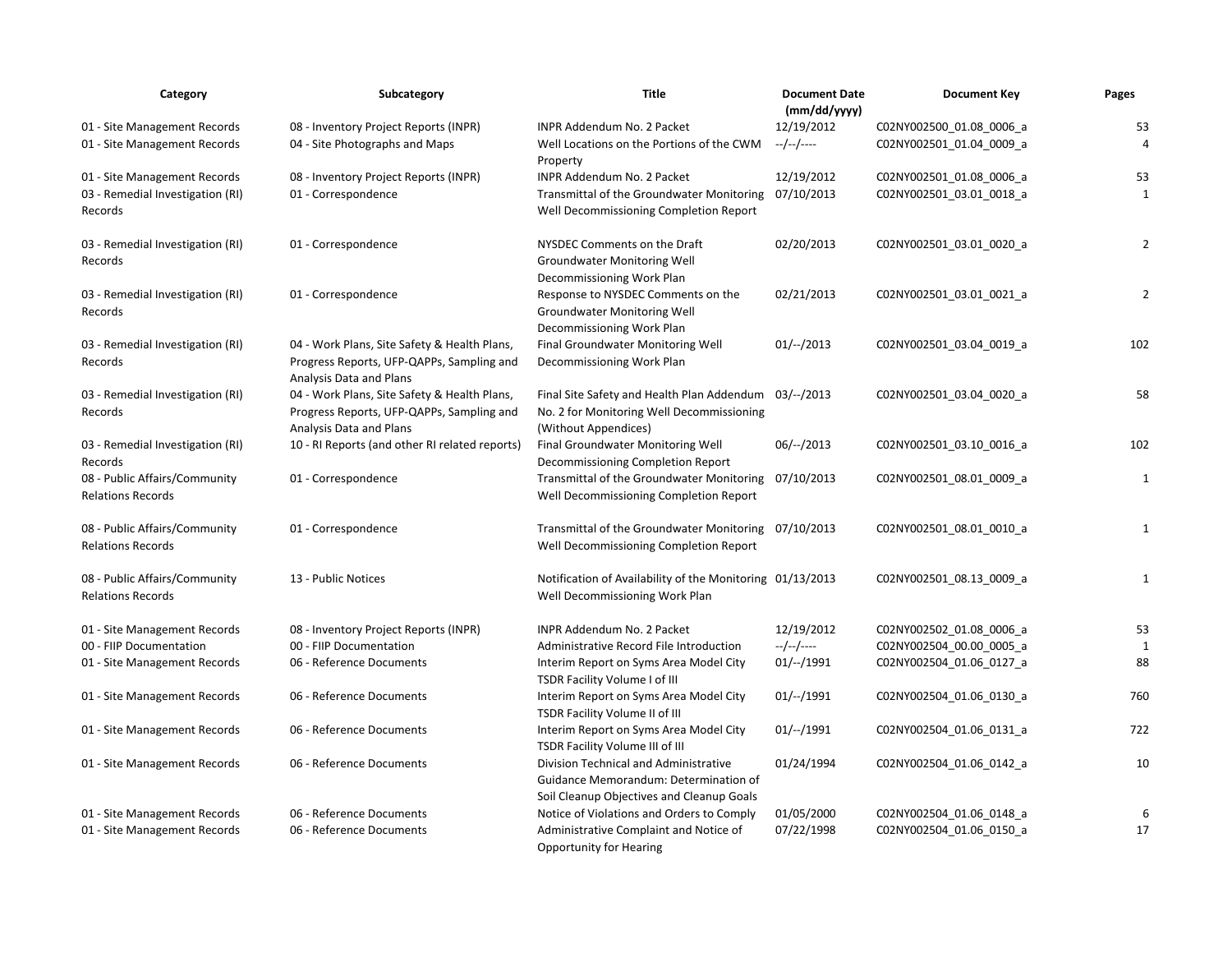| Category                                                  | Subcategory                                                                                                          | Title                                                                                                                       | <b>Document Date</b><br>(mm/dd/yyyy) | <b>Document Key</b>                                  | Pages          |
|-----------------------------------------------------------|----------------------------------------------------------------------------------------------------------------------|-----------------------------------------------------------------------------------------------------------------------------|--------------------------------------|------------------------------------------------------|----------------|
| 01 - Site Management Records                              | 08 - Inventory Project Reports (INPR)                                                                                | INPR Addendum No. 2 Packet                                                                                                  | 12/19/2012                           | C02NY002500_01.08_0006_a                             | 53             |
| 01 - Site Management Records                              | 04 - Site Photographs and Maps                                                                                       | Well Locations on the Portions of the CWM<br>Property                                                                       | --/--/----                           | C02NY002501_01.04_0009_a                             | $\overline{4}$ |
| 01 - Site Management Records                              | 08 - Inventory Project Reports (INPR)                                                                                | INPR Addendum No. 2 Packet                                                                                                  | 12/19/2012                           | C02NY002501 01.08 0006 a                             | 53             |
| 03 - Remedial Investigation (RI)<br>Records               | 01 - Correspondence                                                                                                  | Transmittal of the Groundwater Monitoring<br>Well Decommissioning Completion Report                                         | 07/10/2013                           | C02NY002501_03.01_0018_a                             | 1              |
| 03 - Remedial Investigation (RI)<br>Records               | 01 - Correspondence                                                                                                  | NYSDEC Comments on the Draft<br><b>Groundwater Monitoring Well</b><br>Decommissioning Work Plan                             | 02/20/2013                           | C02NY002501_03.01_0020_a                             | $\overline{2}$ |
| 03 - Remedial Investigation (RI)<br>Records               | 01 - Correspondence                                                                                                  | Response to NYSDEC Comments on the<br><b>Groundwater Monitoring Well</b><br>Decommissioning Work Plan                       | 02/21/2013                           | C02NY002501_03.01_0021_a                             | $\overline{2}$ |
| 03 - Remedial Investigation (RI)<br>Records               | 04 - Work Plans, Site Safety & Health Plans,<br>Progress Reports, UFP-QAPPs, Sampling and<br>Analysis Data and Plans | Final Groundwater Monitoring Well<br>Decommissioning Work Plan                                                              | $01/--/2013$                         | C02NY002501_03.04_0019_a                             | 102            |
| 03 - Remedial Investigation (RI)<br>Records               | 04 - Work Plans, Site Safety & Health Plans,<br>Progress Reports, UFP-QAPPs, Sampling and<br>Analysis Data and Plans | Final Site Safety and Health Plan Addendum<br>No. 2 for Monitoring Well Decommissioning<br>(Without Appendices)             | 03/--/2013                           | C02NY002501_03.04_0020_a                             | 58             |
| 03 - Remedial Investigation (RI)<br>Records               | 10 - RI Reports (and other RI related reports)                                                                       | Final Groundwater Monitoring Well<br>Decommissioning Completion Report                                                      | $06/-/2013$                          | C02NY002501 03.10 0016 a                             | 102            |
| 08 - Public Affairs/Community<br><b>Relations Records</b> | 01 - Correspondence                                                                                                  | Transmittal of the Groundwater Monitoring<br>Well Decommissioning Completion Report                                         | 07/10/2013                           | C02NY002501_08.01_0009_a                             | $\mathbf{1}$   |
| 08 - Public Affairs/Community<br><b>Relations Records</b> | 01 - Correspondence                                                                                                  | Transmittal of the Groundwater Monitoring 07/10/2013<br>Well Decommissioning Completion Report                              |                                      | C02NY002501_08.01_0010_a                             | $\mathbf{1}$   |
| 08 - Public Affairs/Community<br><b>Relations Records</b> | 13 - Public Notices                                                                                                  | Notification of Availability of the Monitoring 01/13/2013<br>Well Decommissioning Work Plan                                 |                                      | C02NY002501 08.13 0009 a                             | $\mathbf{1}$   |
| 01 - Site Management Records                              | 08 - Inventory Project Reports (INPR)                                                                                | INPR Addendum No. 2 Packet                                                                                                  | 12/19/2012                           | C02NY002502_01.08_0006_a                             | 53             |
| 00 - FIIP Documentation<br>01 - Site Management Records   | 00 - FIIP Documentation<br>06 - Reference Documents                                                                  | Administrative Record File Introduction<br>Interim Report on Syms Area Model City<br>TSDR Facility Volume I of III          | --/--/----<br>01/--/1991             | C02NY002504 00.00 0005 a<br>C02NY002504 01.06 0127 a | 1<br>88        |
| 01 - Site Management Records                              | 06 - Reference Documents                                                                                             | Interim Report on Syms Area Model City<br>TSDR Facility Volume II of III                                                    | $01/--/1991$                         | C02NY002504_01.06_0130_a                             | 760            |
| 01 - Site Management Records                              | 06 - Reference Documents                                                                                             | Interim Report on Syms Area Model City<br>TSDR Facility Volume III of III                                                   | $01/--/1991$                         | C02NY002504 01.06 0131 a                             | 722            |
| 01 - Site Management Records                              | 06 - Reference Documents                                                                                             | Division Technical and Administrative<br>Guidance Memorandum: Determination of<br>Soil Cleanup Objectives and Cleanup Goals | 01/24/1994                           | C02NY002504_01.06_0142_a                             | 10             |
| 01 - Site Management Records                              | 06 - Reference Documents                                                                                             | Notice of Violations and Orders to Comply                                                                                   | 01/05/2000                           | C02NY002504 01.06 0148 a                             | 6              |
| 01 - Site Management Records                              | 06 - Reference Documents                                                                                             | Administrative Complaint and Notice of<br><b>Opportunity for Hearing</b>                                                    | 07/22/1998                           | C02NY002504_01.06_0150_a                             | 17             |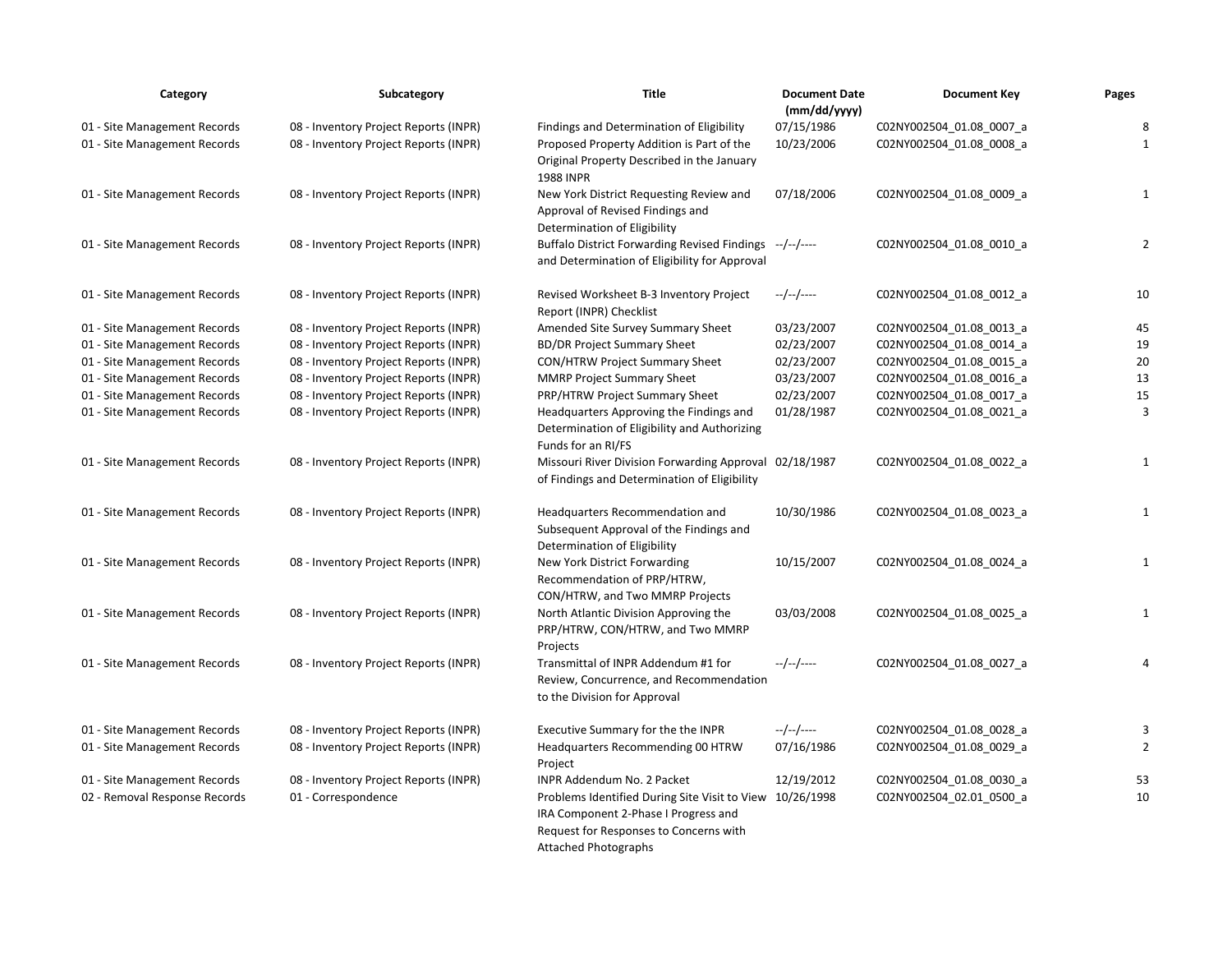| Category                      | Subcategory                           | Title                                                                                                                                                                     | <b>Document Date</b><br>(mm/dd/yyyy) | <b>Document Key</b>      | Pages          |
|-------------------------------|---------------------------------------|---------------------------------------------------------------------------------------------------------------------------------------------------------------------------|--------------------------------------|--------------------------|----------------|
| 01 - Site Management Records  | 08 - Inventory Project Reports (INPR) | Findings and Determination of Eligibility                                                                                                                                 | 07/15/1986                           | C02NY002504_01.08_0007_a | 8              |
| 01 - Site Management Records  | 08 - Inventory Project Reports (INPR) | Proposed Property Addition is Part of the<br>Original Property Described in the January<br><b>1988 INPR</b>                                                               | 10/23/2006                           | C02NY002504_01.08_0008_a | 1              |
| 01 - Site Management Records  | 08 - Inventory Project Reports (INPR) | New York District Requesting Review and<br>Approval of Revised Findings and<br>Determination of Eligibility                                                               | 07/18/2006                           | C02NY002504 01.08 0009 a | 1              |
| 01 - Site Management Records  | 08 - Inventory Project Reports (INPR) | <b>Buffalo District Forwarding Revised Findings</b><br>and Determination of Eligibility for Approval                                                                      | ---/--/----                          | C02NY002504 01.08 0010 a | $\overline{2}$ |
| 01 - Site Management Records  | 08 - Inventory Project Reports (INPR) | Revised Worksheet B-3 Inventory Project<br>Report (INPR) Checklist                                                                                                        | --/--/----                           | C02NY002504 01.08 0012 a | 10             |
| 01 - Site Management Records  | 08 - Inventory Project Reports (INPR) | Amended Site Survey Summary Sheet                                                                                                                                         | 03/23/2007                           | C02NY002504_01.08_0013_a | 45             |
| 01 - Site Management Records  | 08 - Inventory Project Reports (INPR) | <b>BD/DR Project Summary Sheet</b>                                                                                                                                        | 02/23/2007                           | C02NY002504_01.08_0014_a | 19             |
| 01 - Site Management Records  | 08 - Inventory Project Reports (INPR) | CON/HTRW Project Summary Sheet                                                                                                                                            | 02/23/2007                           | C02NY002504 01.08 0015 a | 20             |
| 01 - Site Management Records  | 08 - Inventory Project Reports (INPR) | MMRP Project Summary Sheet                                                                                                                                                | 03/23/2007                           | C02NY002504_01.08_0016_a | 13             |
| 01 - Site Management Records  | 08 - Inventory Project Reports (INPR) | PRP/HTRW Project Summary Sheet                                                                                                                                            | 02/23/2007                           | C02NY002504_01.08_0017_a | 15             |
| 01 - Site Management Records  | 08 - Inventory Project Reports (INPR) | Headquarters Approving the Findings and<br>Determination of Eligibility and Authorizing<br>Funds for an RI/FS                                                             | 01/28/1987                           | C02NY002504_01.08_0021_a | 3              |
| 01 - Site Management Records  | 08 - Inventory Project Reports (INPR) | Missouri River Division Forwarding Approval 02/18/1987<br>of Findings and Determination of Eligibility                                                                    |                                      | C02NY002504 01.08 0022 a | 1              |
| 01 - Site Management Records  | 08 - Inventory Project Reports (INPR) | Headquarters Recommendation and<br>Subsequent Approval of the Findings and<br>Determination of Eligibility                                                                | 10/30/1986                           | C02NY002504 01.08 0023 a | 1              |
| 01 - Site Management Records  | 08 - Inventory Project Reports (INPR) | New York District Forwarding<br>Recommendation of PRP/HTRW,<br>CON/HTRW, and Two MMRP Projects                                                                            | 10/15/2007                           | C02NY002504 01.08 0024 a | $\mathbf{1}$   |
| 01 - Site Management Records  | 08 - Inventory Project Reports (INPR) | North Atlantic Division Approving the<br>PRP/HTRW, CON/HTRW, and Two MMRP<br>Projects                                                                                     | 03/03/2008                           | C02NY002504_01.08_0025_a | 1              |
| 01 - Site Management Records  | 08 - Inventory Project Reports (INPR) | Transmittal of INPR Addendum #1 for<br>Review, Concurrence, and Recommendation<br>to the Division for Approval                                                            | $-/-/-/---$                          | C02NY002504_01.08_0027_a | $\overline{4}$ |
| 01 - Site Management Records  | 08 - Inventory Project Reports (INPR) | Executive Summary for the the INPR                                                                                                                                        | --/--/----                           | C02NY002504 01.08 0028 a | 3              |
| 01 - Site Management Records  | 08 - Inventory Project Reports (INPR) | Headquarters Recommending 00 HTRW<br>Project                                                                                                                              | 07/16/1986                           | C02NY002504_01.08_0029_a | $\overline{2}$ |
| 01 - Site Management Records  | 08 - Inventory Project Reports (INPR) | <b>INPR Addendum No. 2 Packet</b>                                                                                                                                         | 12/19/2012                           | C02NY002504_01.08_0030_a | 53             |
| 02 - Removal Response Records | 01 - Correspondence                   | Problems Identified During Site Visit to View 10/26/1998<br>IRA Component 2-Phase I Progress and<br>Request for Responses to Concerns with<br><b>Attached Photographs</b> |                                      | C02NY002504_02.01_0500_a | 10             |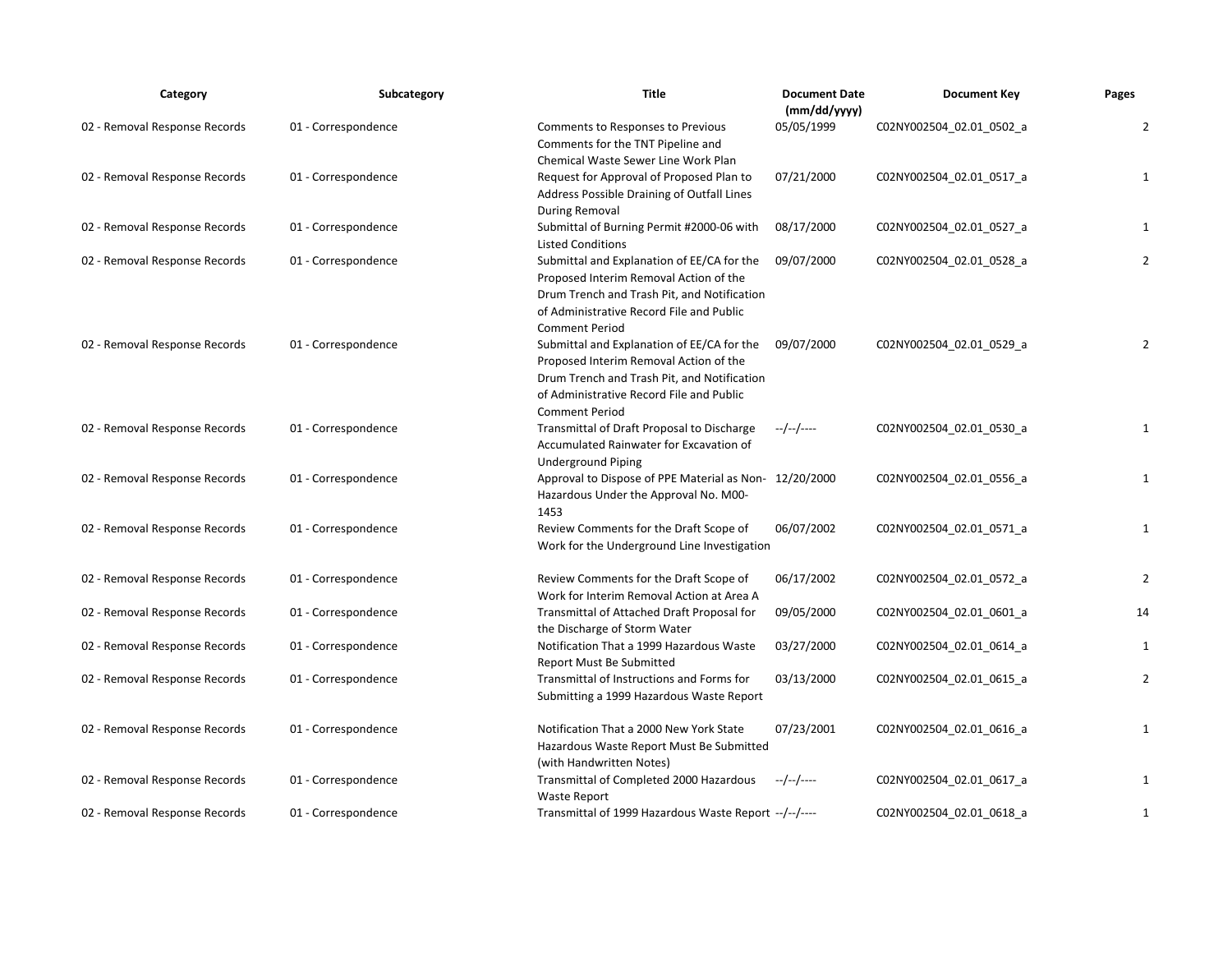| Category                      | Subcategory         | <b>Title</b>                                                                                                                                                                                             | <b>Document Date</b><br>(mm/dd/yyyy) | <b>Document Key</b>      | Pages          |
|-------------------------------|---------------------|----------------------------------------------------------------------------------------------------------------------------------------------------------------------------------------------------------|--------------------------------------|--------------------------|----------------|
| 02 - Removal Response Records | 01 - Correspondence | Comments to Responses to Previous<br>Comments for the TNT Pipeline and<br>Chemical Waste Sewer Line Work Plan                                                                                            | 05/05/1999                           | C02NY002504_02.01_0502_a | $\overline{2}$ |
| 02 - Removal Response Records | 01 - Correspondence | Request for Approval of Proposed Plan to<br>Address Possible Draining of Outfall Lines<br><b>During Removal</b>                                                                                          | 07/21/2000                           | C02NY002504_02.01_0517_a | 1              |
| 02 - Removal Response Records | 01 - Correspondence | Submittal of Burning Permit #2000-06 with<br><b>Listed Conditions</b>                                                                                                                                    | 08/17/2000                           | C02NY002504_02.01_0527_a | 1              |
| 02 - Removal Response Records | 01 - Correspondence | Submittal and Explanation of EE/CA for the<br>Proposed Interim Removal Action of the<br>Drum Trench and Trash Pit, and Notification<br>of Administrative Record File and Public<br><b>Comment Period</b> | 09/07/2000                           | C02NY002504 02.01 0528 a | $\overline{2}$ |
| 02 - Removal Response Records | 01 - Correspondence | Submittal and Explanation of EE/CA for the<br>Proposed Interim Removal Action of the<br>Drum Trench and Trash Pit, and Notification<br>of Administrative Record File and Public<br><b>Comment Period</b> | 09/07/2000                           | C02NY002504_02.01_0529_a | 2              |
| 02 - Removal Response Records | 01 - Correspondence | Transmittal of Draft Proposal to Discharge<br>Accumulated Rainwater for Excavation of<br><b>Underground Piping</b>                                                                                       | --/--/----                           | C02NY002504 02.01 0530 a | $\mathbf{1}$   |
| 02 - Removal Response Records | 01 - Correspondence | Approval to Dispose of PPE Material as Non- 12/20/2000<br>Hazardous Under the Approval No. M00-<br>1453                                                                                                  |                                      | C02NY002504_02.01_0556_a | $\mathbf{1}$   |
| 02 - Removal Response Records | 01 - Correspondence | Review Comments for the Draft Scope of<br>Work for the Underground Line Investigation                                                                                                                    | 06/07/2002                           | C02NY002504 02.01 0571 a | 1              |
| 02 - Removal Response Records | 01 - Correspondence | Review Comments for the Draft Scope of<br>Work for Interim Removal Action at Area A                                                                                                                      | 06/17/2002                           | C02NY002504_02.01_0572_a | $\overline{2}$ |
| 02 - Removal Response Records | 01 - Correspondence | Transmittal of Attached Draft Proposal for<br>the Discharge of Storm Water                                                                                                                               | 09/05/2000                           | C02NY002504 02.01 0601 a | 14             |
| 02 - Removal Response Records | 01 - Correspondence | Notification That a 1999 Hazardous Waste<br>Report Must Be Submitted                                                                                                                                     | 03/27/2000                           | C02NY002504_02.01_0614_a | 1              |
| 02 - Removal Response Records | 01 - Correspondence | Transmittal of Instructions and Forms for<br>Submitting a 1999 Hazardous Waste Report                                                                                                                    | 03/13/2000                           | C02NY002504_02.01_0615_a | $\overline{2}$ |
| 02 - Removal Response Records | 01 - Correspondence | Notification That a 2000 New York State<br>Hazardous Waste Report Must Be Submitted<br>(with Handwritten Notes)                                                                                          | 07/23/2001                           | C02NY002504_02.01_0616_a | $\mathbf{1}$   |
| 02 - Removal Response Records | 01 - Correspondence | Transmittal of Completed 2000 Hazardous<br>Waste Report                                                                                                                                                  | --/--/----                           | C02NY002504 02.01 0617 a | 1              |
| 02 - Removal Response Records | 01 - Correspondence | Transmittal of 1999 Hazardous Waste Report --/--/----                                                                                                                                                    |                                      | C02NY002504 02.01 0618 a | 1              |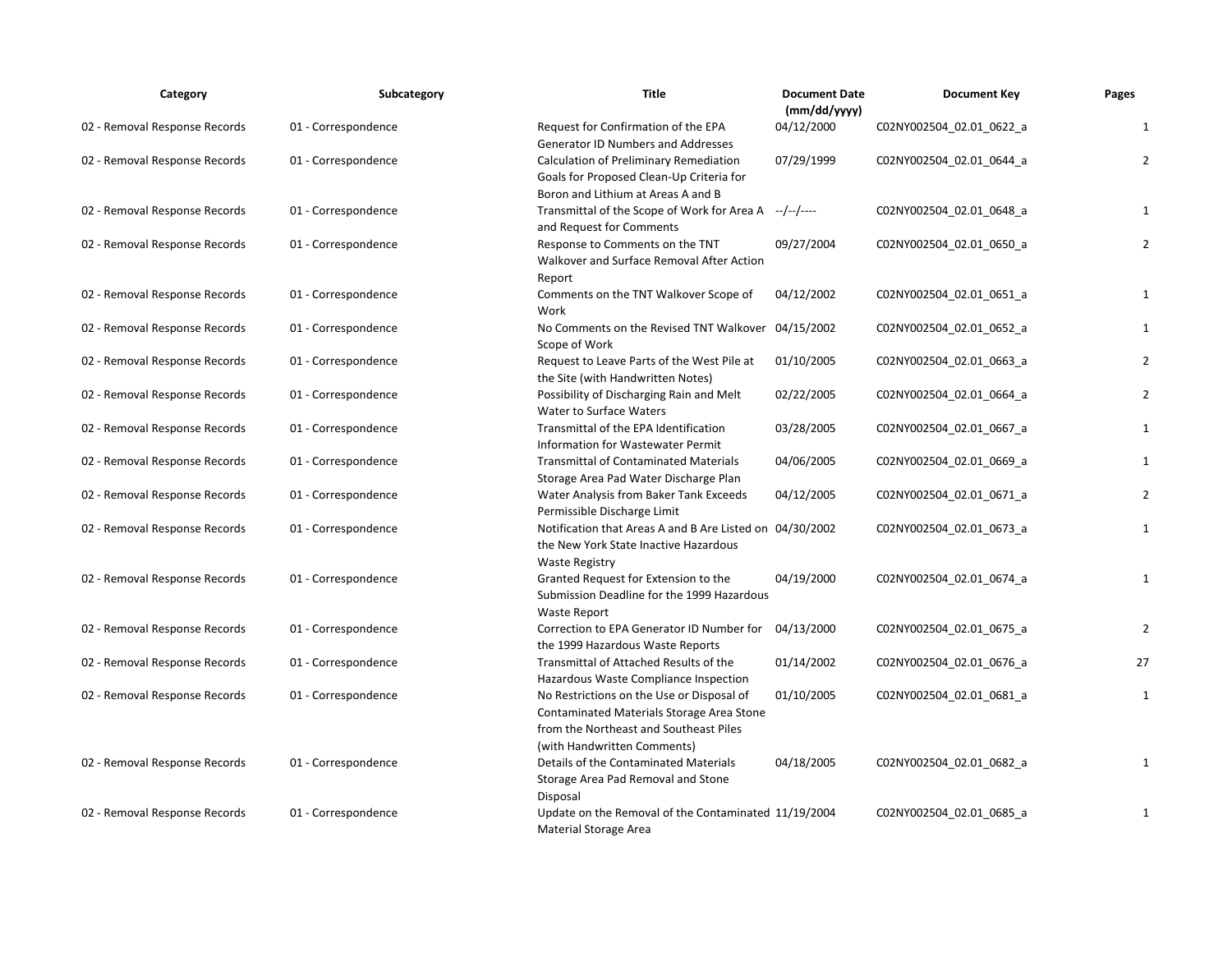| Category                      | Subcategory         | <b>Title</b>                                                                                                                                                    | <b>Document Date</b><br>(mm/dd/yyyy) | <b>Document Key</b>      | Pages          |
|-------------------------------|---------------------|-----------------------------------------------------------------------------------------------------------------------------------------------------------------|--------------------------------------|--------------------------|----------------|
| 02 - Removal Response Records | 01 - Correspondence | Request for Confirmation of the EPA<br><b>Generator ID Numbers and Addresses</b>                                                                                | 04/12/2000                           | C02NY002504_02.01_0622_a | $\mathbf{1}$   |
| 02 - Removal Response Records | 01 - Correspondence | Calculation of Preliminary Remediation<br>Goals for Proposed Clean-Up Criteria for<br>Boron and Lithium at Areas A and B                                        | 07/29/1999                           | C02NY002504_02.01_0644_a | $\overline{2}$ |
| 02 - Removal Response Records | 01 - Correspondence | Transmittal of the Scope of Work for Area A<br>and Request for Comments                                                                                         | --/--/----                           | C02NY002504_02.01_0648_a | 1              |
| 02 - Removal Response Records | 01 - Correspondence | Response to Comments on the TNT<br>Walkover and Surface Removal After Action<br>Report                                                                          | 09/27/2004                           | C02NY002504_02.01_0650_a | $\overline{2}$ |
| 02 - Removal Response Records | 01 - Correspondence | Comments on the TNT Walkover Scope of<br>Work                                                                                                                   | 04/12/2002                           | C02NY002504_02.01_0651_a | $\mathbf{1}$   |
| 02 - Removal Response Records | 01 - Correspondence | No Comments on the Revised TNT Walkover 04/15/2002<br>Scope of Work                                                                                             |                                      | C02NY002504_02.01_0652_a | 1              |
| 02 - Removal Response Records | 01 - Correspondence | Request to Leave Parts of the West Pile at<br>the Site (with Handwritten Notes)                                                                                 | 01/10/2005                           | C02NY002504 02.01 0663 a | $\overline{2}$ |
| 02 - Removal Response Records | 01 - Correspondence | Possibility of Discharging Rain and Melt<br>Water to Surface Waters                                                                                             | 02/22/2005                           | C02NY002504_02.01_0664_a | $\overline{2}$ |
| 02 - Removal Response Records | 01 - Correspondence | Transmittal of the EPA Identification<br>Information for Wastewater Permit                                                                                      | 03/28/2005                           | C02NY002504_02.01_0667_a | 1              |
| 02 - Removal Response Records | 01 - Correspondence | <b>Transmittal of Contaminated Materials</b><br>Storage Area Pad Water Discharge Plan                                                                           | 04/06/2005                           | C02NY002504 02.01 0669 a | 1              |
| 02 - Removal Response Records | 01 - Correspondence | Water Analysis from Baker Tank Exceeds<br>Permissible Discharge Limit                                                                                           | 04/12/2005                           | C02NY002504 02.01 0671 a | $\overline{2}$ |
| 02 - Removal Response Records | 01 - Correspondence | Notification that Areas A and B Are Listed on 04/30/2002<br>the New York State Inactive Hazardous<br><b>Waste Registry</b>                                      |                                      | C02NY002504_02.01_0673_a | $\mathbf{1}$   |
| 02 - Removal Response Records | 01 - Correspondence | Granted Request for Extension to the<br>Submission Deadline for the 1999 Hazardous<br><b>Waste Report</b>                                                       | 04/19/2000                           | C02NY002504_02.01_0674_a | $\mathbf{1}$   |
| 02 - Removal Response Records | 01 - Correspondence | Correction to EPA Generator ID Number for<br>the 1999 Hazardous Waste Reports                                                                                   | 04/13/2000                           | C02NY002504_02.01_0675_a | $\overline{2}$ |
| 02 - Removal Response Records | 01 - Correspondence | Transmittal of Attached Results of the<br>Hazardous Waste Compliance Inspection                                                                                 | 01/14/2002                           | C02NY002504_02.01_0676_a | 27             |
| 02 - Removal Response Records | 01 - Correspondence | No Restrictions on the Use or Disposal of<br>Contaminated Materials Storage Area Stone<br>from the Northeast and Southeast Piles<br>(with Handwritten Comments) | 01/10/2005                           | C02NY002504_02.01_0681_a | 1              |
| 02 - Removal Response Records | 01 - Correspondence | Details of the Contaminated Materials<br>Storage Area Pad Removal and Stone<br>Disposal                                                                         | 04/18/2005                           | C02NY002504 02.01 0682 a | $\mathbf{1}$   |
| 02 - Removal Response Records | 01 - Correspondence | Update on the Removal of the Contaminated 11/19/2004<br>Material Storage Area                                                                                   |                                      | C02NY002504 02.01 0685 a | $\mathbf{1}$   |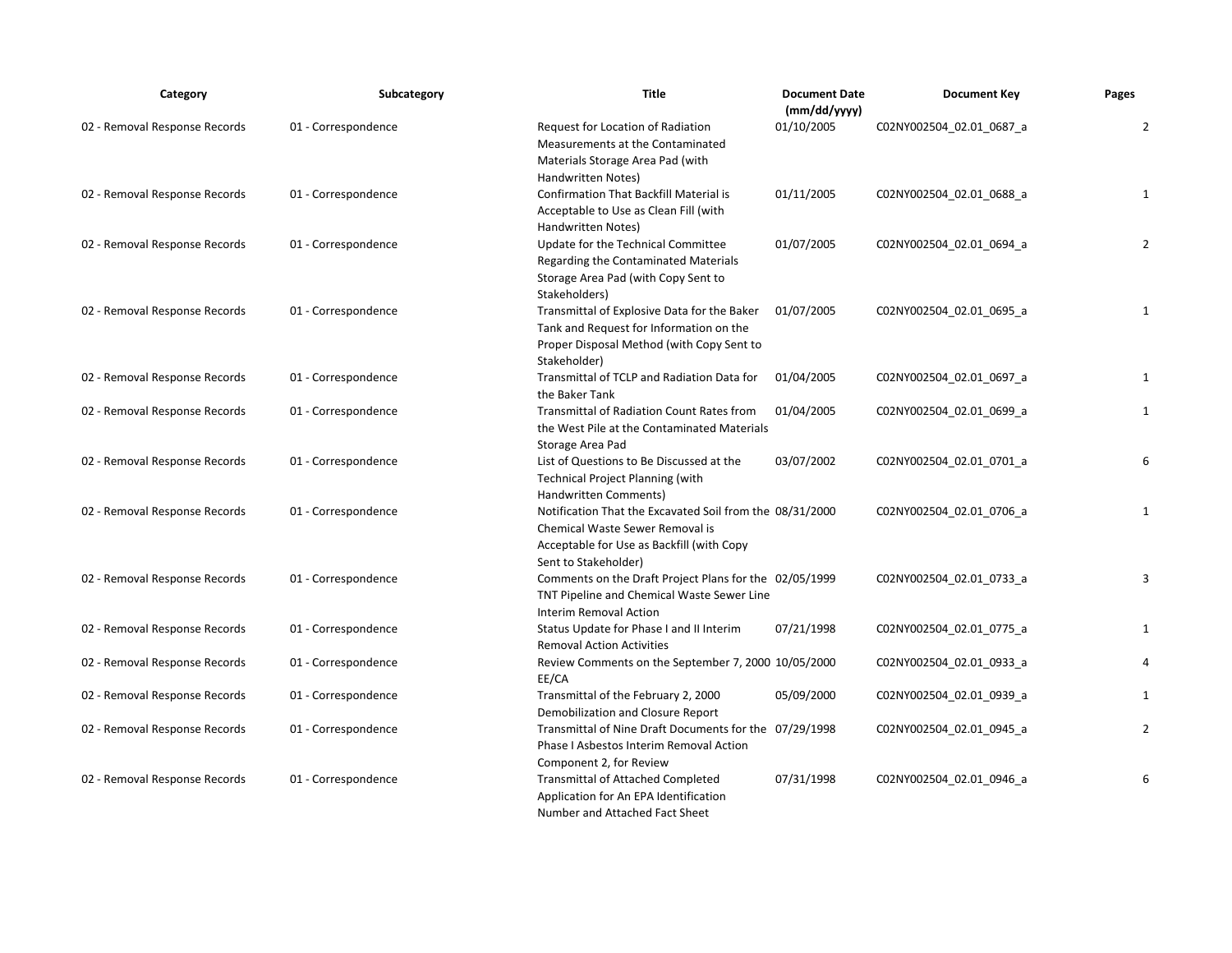| Category                      | Subcategory         | <b>Title</b>                                                                                                                                                     | <b>Document Date</b><br>(mm/dd/yyyy) | <b>Document Key</b>      | Pages          |
|-------------------------------|---------------------|------------------------------------------------------------------------------------------------------------------------------------------------------------------|--------------------------------------|--------------------------|----------------|
| 02 - Removal Response Records | 01 - Correspondence | Request for Location of Radiation<br>Measurements at the Contaminated<br>Materials Storage Area Pad (with<br>Handwritten Notes)                                  | 01/10/2005                           | C02NY002504_02.01_0687_a | $\overline{2}$ |
| 02 - Removal Response Records | 01 - Correspondence | Confirmation That Backfill Material is<br>Acceptable to Use as Clean Fill (with<br>Handwritten Notes)                                                            | 01/11/2005                           | C02NY002504_02.01_0688_a | 1              |
| 02 - Removal Response Records | 01 - Correspondence | Update for the Technical Committee<br>Regarding the Contaminated Materials<br>Storage Area Pad (with Copy Sent to<br>Stakeholders)                               | 01/07/2005                           | C02NY002504_02.01_0694_a | $\overline{2}$ |
| 02 - Removal Response Records | 01 - Correspondence | Transmittal of Explosive Data for the Baker<br>Tank and Request for Information on the<br>Proper Disposal Method (with Copy Sent to<br>Stakeholder)              | 01/07/2005                           | C02NY002504_02.01_0695_a | 1              |
| 02 - Removal Response Records | 01 - Correspondence | Transmittal of TCLP and Radiation Data for<br>the Baker Tank                                                                                                     | 01/04/2005                           | C02NY002504 02.01 0697 a | 1              |
| 02 - Removal Response Records | 01 - Correspondence | <b>Transmittal of Radiation Count Rates from</b><br>the West Pile at the Contaminated Materials<br>Storage Area Pad                                              | 01/04/2005                           | C02NY002504_02.01_0699_a | $\mathbf{1}$   |
| 02 - Removal Response Records | 01 - Correspondence | List of Questions to Be Discussed at the<br><b>Technical Project Planning (with</b><br>Handwritten Comments)                                                     | 03/07/2002                           | C02NY002504 02.01 0701 a | 6              |
| 02 - Removal Response Records | 01 - Correspondence | Notification That the Excavated Soil from the 08/31/2000<br>Chemical Waste Sewer Removal is<br>Acceptable for Use as Backfill (with Copy<br>Sent to Stakeholder) |                                      | C02NY002504_02.01_0706_a | $\mathbf{1}$   |
| 02 - Removal Response Records | 01 - Correspondence | Comments on the Draft Project Plans for the 02/05/1999<br>TNT Pipeline and Chemical Waste Sewer Line<br>Interim Removal Action                                   |                                      | C02NY002504_02.01_0733_a | 3              |
| 02 - Removal Response Records | 01 - Correspondence | Status Update for Phase I and II Interim<br><b>Removal Action Activities</b>                                                                                     | 07/21/1998                           | C02NY002504_02.01_0775_a | $\mathbf{1}$   |
| 02 - Removal Response Records | 01 - Correspondence | Review Comments on the September 7, 2000 10/05/2000<br>EE/CA                                                                                                     |                                      | C02NY002504_02.01_0933_a | 4              |
| 02 - Removal Response Records | 01 - Correspondence | Transmittal of the February 2, 2000<br>Demobilization and Closure Report                                                                                         | 05/09/2000                           | C02NY002504_02.01_0939_a | 1              |
| 02 - Removal Response Records | 01 - Correspondence | Transmittal of Nine Draft Documents for the 07/29/1998<br>Phase I Asbestos Interim Removal Action<br>Component 2, for Review                                     |                                      | C02NY002504 02.01 0945 a | $\overline{2}$ |
| 02 - Removal Response Records | 01 - Correspondence | <b>Transmittal of Attached Completed</b><br>Application for An EPA Identification<br>Number and Attached Fact Sheet                                              | 07/31/1998                           | C02NY002504 02.01 0946 a | 6              |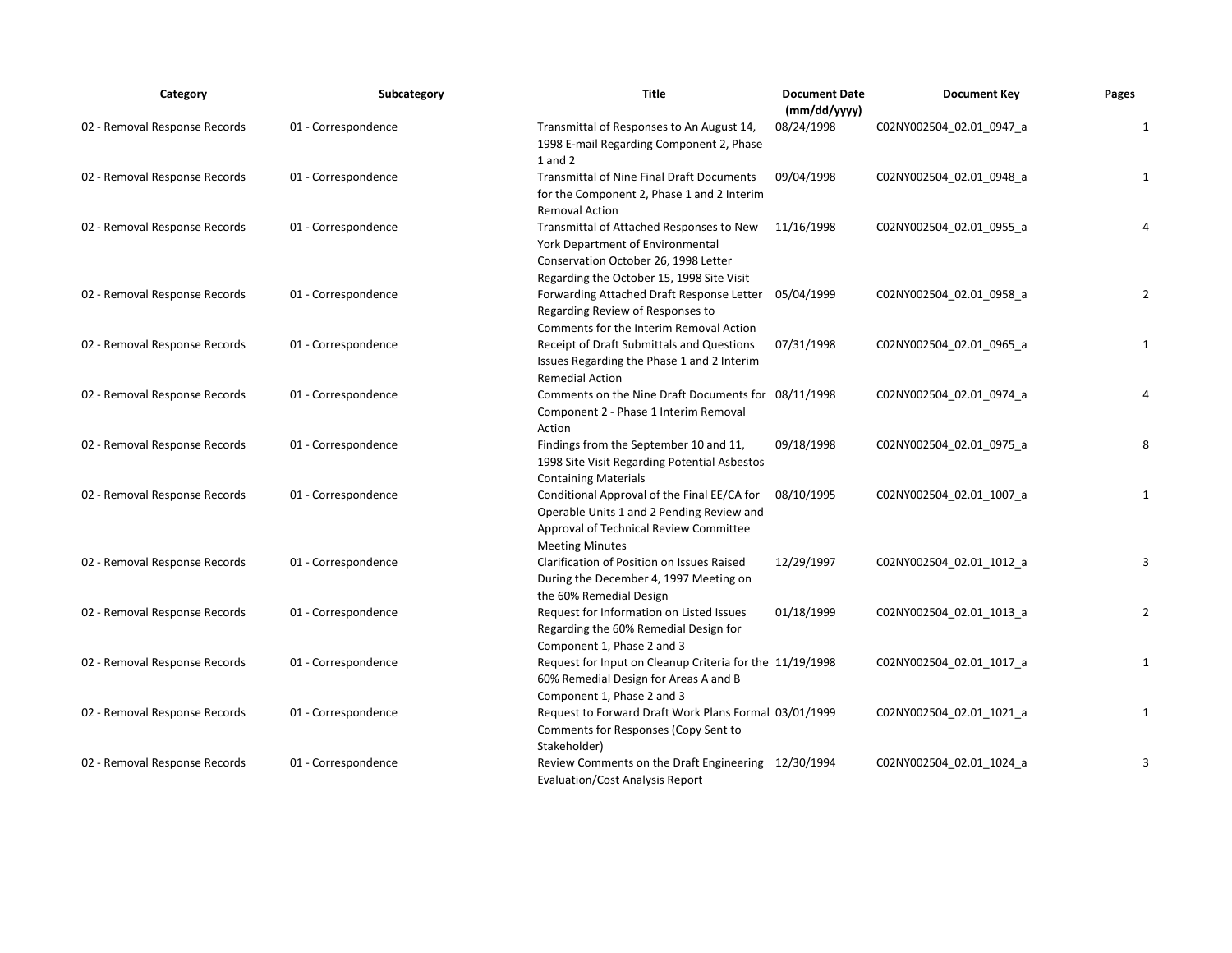| Category                      | Subcategory         | <b>Title</b>                                                                                                                                                      | <b>Document Date</b><br>(mm/dd/yyyy) | <b>Document Key</b>      | Pages          |
|-------------------------------|---------------------|-------------------------------------------------------------------------------------------------------------------------------------------------------------------|--------------------------------------|--------------------------|----------------|
| 02 - Removal Response Records | 01 - Correspondence | Transmittal of Responses to An August 14,<br>1998 E-mail Regarding Component 2, Phase<br>$1$ and $2$                                                              | 08/24/1998                           | C02NY002504_02.01_0947_a | $\mathbf{1}$   |
| 02 - Removal Response Records | 01 - Correspondence | <b>Transmittal of Nine Final Draft Documents</b><br>for the Component 2, Phase 1 and 2 Interim<br><b>Removal Action</b>                                           | 09/04/1998                           | C02NY002504_02.01_0948_a | 1              |
| 02 - Removal Response Records | 01 - Correspondence | Transmittal of Attached Responses to New<br>York Department of Environmental<br>Conservation October 26, 1998 Letter<br>Regarding the October 15, 1998 Site Visit | 11/16/1998                           | C02NY002504_02.01_0955_a | 4              |
| 02 - Removal Response Records | 01 - Correspondence | Forwarding Attached Draft Response Letter<br>Regarding Review of Responses to<br>Comments for the Interim Removal Action                                          | 05/04/1999                           | C02NY002504_02.01_0958_a | $\overline{2}$ |
| 02 - Removal Response Records | 01 - Correspondence | Receipt of Draft Submittals and Questions<br>Issues Regarding the Phase 1 and 2 Interim<br><b>Remedial Action</b>                                                 | 07/31/1998                           | C02NY002504_02.01_0965_a | $\mathbf 1$    |
| 02 - Removal Response Records | 01 - Correspondence | Comments on the Nine Draft Documents for 08/11/1998<br>Component 2 - Phase 1 Interim Removal<br>Action                                                            |                                      | C02NY002504_02.01_0974_a | $\overline{4}$ |
| 02 - Removal Response Records | 01 - Correspondence | Findings from the September 10 and 11,<br>1998 Site Visit Regarding Potential Asbestos<br><b>Containing Materials</b>                                             | 09/18/1998                           | C02NY002504_02.01_0975_a | 8              |
| 02 - Removal Response Records | 01 - Correspondence | Conditional Approval of the Final EE/CA for<br>Operable Units 1 and 2 Pending Review and<br>Approval of Technical Review Committee<br><b>Meeting Minutes</b>      | 08/10/1995                           | C02NY002504_02.01_1007_a | 1              |
| 02 - Removal Response Records | 01 - Correspondence | Clarification of Position on Issues Raised<br>During the December 4, 1997 Meeting on<br>the 60% Remedial Design                                                   | 12/29/1997                           | C02NY002504 02.01 1012 a | 3              |
| 02 - Removal Response Records | 01 - Correspondence | Request for Information on Listed Issues<br>Regarding the 60% Remedial Design for<br>Component 1, Phase 2 and 3                                                   | 01/18/1999                           | C02NY002504_02.01_1013_a | $\overline{2}$ |
| 02 - Removal Response Records | 01 - Correspondence | Request for Input on Cleanup Criteria for the 11/19/1998<br>60% Remedial Design for Areas A and B<br>Component 1, Phase 2 and 3                                   |                                      | C02NY002504_02.01_1017_a | 1              |
| 02 - Removal Response Records | 01 - Correspondence | Request to Forward Draft Work Plans Formal 03/01/1999<br>Comments for Responses (Copy Sent to<br>Stakeholder)                                                     |                                      | C02NY002504_02.01_1021_a | 1              |
| 02 - Removal Response Records | 01 - Correspondence | Review Comments on the Draft Engineering 12/30/1994<br><b>Evaluation/Cost Analysis Report</b>                                                                     |                                      | C02NY002504_02.01_1024_a | 3              |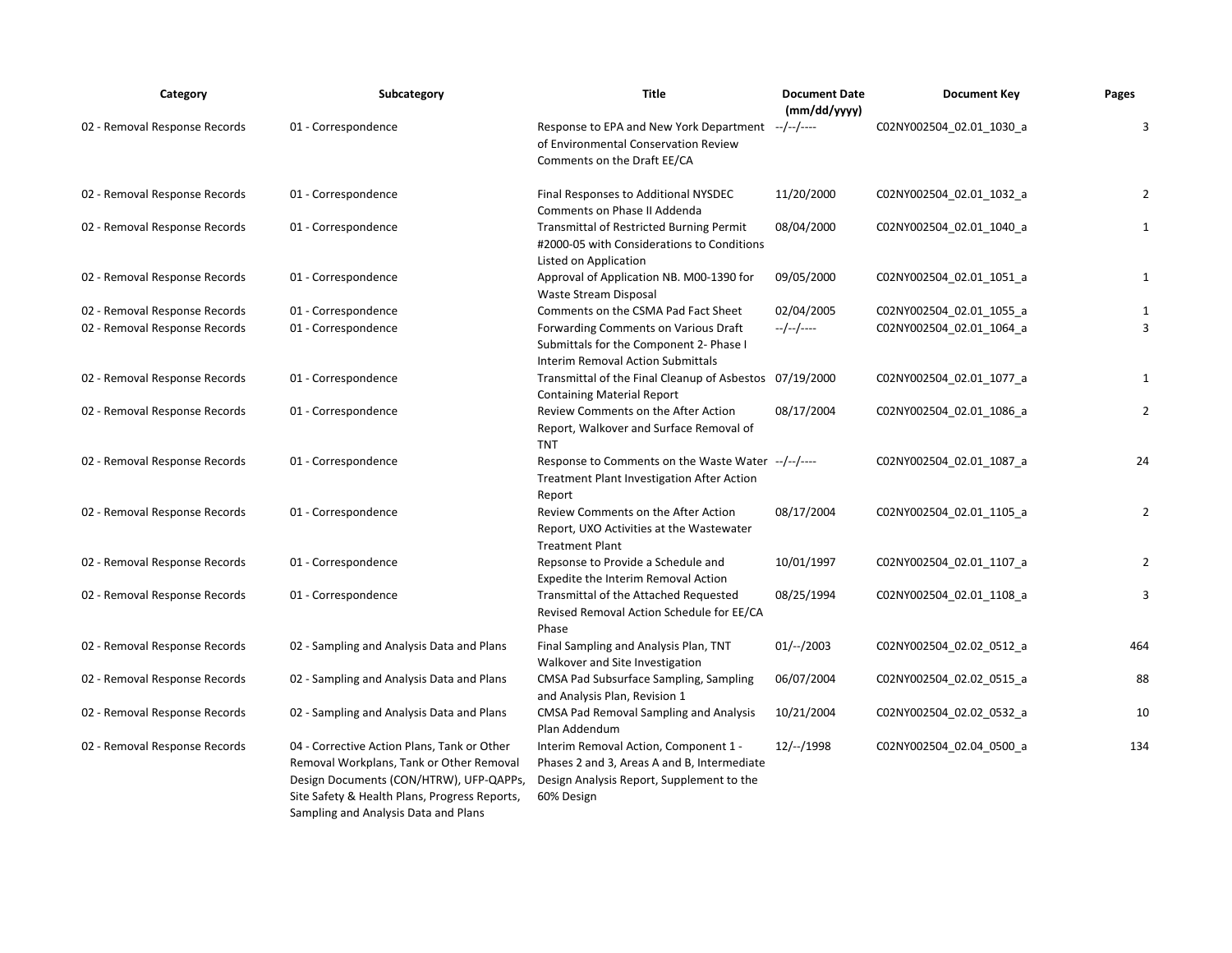| Category                      | Subcategory                                                                                                                                                                                                                 | Title                                                                                                                                           | <b>Document Date</b><br>(mm/dd/yyyy) | <b>Document Key</b>      | Pages          |
|-------------------------------|-----------------------------------------------------------------------------------------------------------------------------------------------------------------------------------------------------------------------------|-------------------------------------------------------------------------------------------------------------------------------------------------|--------------------------------------|--------------------------|----------------|
| 02 - Removal Response Records | 01 - Correspondence                                                                                                                                                                                                         | Response to EPA and New York Department<br>of Environmental Conservation Review<br>Comments on the Draft EE/CA                                  | --/--/----                           | C02NY002504_02.01_1030_a | 3              |
| 02 - Removal Response Records | 01 - Correspondence                                                                                                                                                                                                         | Final Responses to Additional NYSDEC<br>Comments on Phase II Addenda                                                                            | 11/20/2000                           | C02NY002504_02.01_1032_a | $\overline{2}$ |
| 02 - Removal Response Records | 01 - Correspondence                                                                                                                                                                                                         | Transmittal of Restricted Burning Permit<br>#2000-05 with Considerations to Conditions<br>Listed on Application                                 | 08/04/2000                           | C02NY002504 02.01 1040 a | $\mathbf{1}$   |
| 02 - Removal Response Records | 01 - Correspondence                                                                                                                                                                                                         | Approval of Application NB. M00-1390 for<br>Waste Stream Disposal                                                                               | 09/05/2000                           | C02NY002504_02.01_1051_a | $\mathbf{1}$   |
| 02 - Removal Response Records | 01 - Correspondence                                                                                                                                                                                                         | Comments on the CSMA Pad Fact Sheet                                                                                                             | 02/04/2005                           | C02NY002504_02.01_1055_a | $\mathbf{1}$   |
| 02 - Removal Response Records | 01 - Correspondence                                                                                                                                                                                                         | Forwarding Comments on Various Draft<br>Submittals for the Component 2- Phase I<br>Interim Removal Action Submittals                            | $-/-/-/---$                          | C02NY002504_02.01_1064_a | 3              |
| 02 - Removal Response Records | 01 - Correspondence                                                                                                                                                                                                         | Transmittal of the Final Cleanup of Asbestos 07/19/2000<br><b>Containing Material Report</b>                                                    |                                      | C02NY002504_02.01_1077_a | $\mathbf{1}$   |
| 02 - Removal Response Records | 01 - Correspondence                                                                                                                                                                                                         | Review Comments on the After Action<br>Report, Walkover and Surface Removal of<br><b>TNT</b>                                                    | 08/17/2004                           | C02NY002504_02.01_1086_a | $\overline{2}$ |
| 02 - Removal Response Records | 01 - Correspondence                                                                                                                                                                                                         | Response to Comments on the Waste Water --/--/----<br><b>Treatment Plant Investigation After Action</b><br>Report                               |                                      | C02NY002504_02.01_1087_a | 24             |
| 02 - Removal Response Records | 01 - Correspondence                                                                                                                                                                                                         | Review Comments on the After Action<br>Report, UXO Activities at the Wastewater<br><b>Treatment Plant</b>                                       | 08/17/2004                           | C02NY002504_02.01_1105_a | $\overline{2}$ |
| 02 - Removal Response Records | 01 - Correspondence                                                                                                                                                                                                         | Repsonse to Provide a Schedule and<br>Expedite the Interim Removal Action                                                                       | 10/01/1997                           | C02NY002504 02.01 1107 a | $\overline{2}$ |
| 02 - Removal Response Records | 01 - Correspondence                                                                                                                                                                                                         | Transmittal of the Attached Requested<br>Revised Removal Action Schedule for EE/CA<br>Phase                                                     | 08/25/1994                           | C02NY002504 02.01 1108 a | 3              |
| 02 - Removal Response Records | 02 - Sampling and Analysis Data and Plans                                                                                                                                                                                   | Final Sampling and Analysis Plan, TNT<br>Walkover and Site Investigation                                                                        | $01/--/2003$                         | C02NY002504_02.02_0512_a | 464            |
| 02 - Removal Response Records | 02 - Sampling and Analysis Data and Plans                                                                                                                                                                                   | CMSA Pad Subsurface Sampling, Sampling<br>and Analysis Plan, Revision 1                                                                         | 06/07/2004                           | C02NY002504_02.02_0515_a | 88             |
| 02 - Removal Response Records | 02 - Sampling and Analysis Data and Plans                                                                                                                                                                                   | <b>CMSA Pad Removal Sampling and Analysis</b><br>Plan Addendum                                                                                  | 10/21/2004                           | C02NY002504_02.02_0532_a | 10             |
| 02 - Removal Response Records | 04 - Corrective Action Plans, Tank or Other<br>Removal Workplans, Tank or Other Removal<br>Design Documents (CON/HTRW), UFP-QAPPs,<br>Site Safety & Health Plans, Progress Reports,<br>Sampling and Analysis Data and Plans | Interim Removal Action, Component 1 -<br>Phases 2 and 3, Areas A and B, Intermediate<br>Design Analysis Report, Supplement to the<br>60% Design | 12/--/1998                           | C02NY002504_02.04_0500_a | 134            |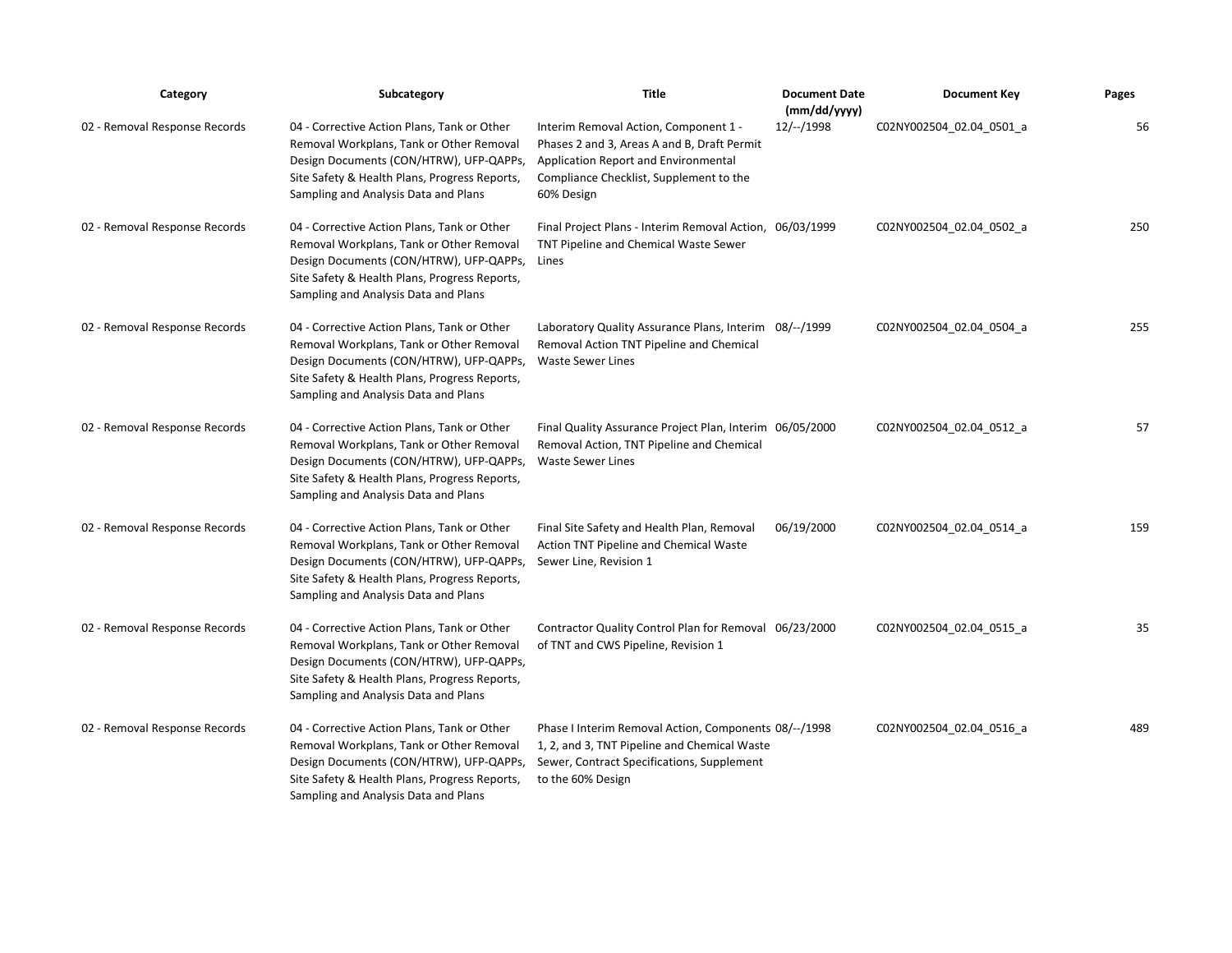| Category                      | Subcategory                                                                                                                                                                                                                       | <b>Title</b>                                                                                                                                                                          | <b>Document Date</b><br>(mm/dd/yyyy) | <b>Document Key</b>      | Pages |
|-------------------------------|-----------------------------------------------------------------------------------------------------------------------------------------------------------------------------------------------------------------------------------|---------------------------------------------------------------------------------------------------------------------------------------------------------------------------------------|--------------------------------------|--------------------------|-------|
| 02 - Removal Response Records | 04 - Corrective Action Plans, Tank or Other<br>Removal Workplans, Tank or Other Removal<br>Design Documents (CON/HTRW), UFP-QAPPs,<br>Site Safety & Health Plans, Progress Reports,<br>Sampling and Analysis Data and Plans       | Interim Removal Action, Component 1 -<br>Phases 2 and 3, Areas A and B, Draft Permit<br>Application Report and Environmental<br>Compliance Checklist, Supplement to the<br>60% Design | $12/-/1998$                          | C02NY002504_02.04_0501_a | 56    |
| 02 - Removal Response Records | 04 - Corrective Action Plans, Tank or Other<br>Removal Workplans, Tank or Other Removal<br>Design Documents (CON/HTRW), UFP-QAPPs, Lines<br>Site Safety & Health Plans, Progress Reports,<br>Sampling and Analysis Data and Plans | Final Project Plans - Interim Removal Action, 06/03/1999<br>TNT Pipeline and Chemical Waste Sewer                                                                                     |                                      | C02NY002504 02.04 0502 a | 250   |
| 02 - Removal Response Records | 04 - Corrective Action Plans, Tank or Other<br>Removal Workplans, Tank or Other Removal<br>Design Documents (CON/HTRW), UFP-QAPPs,<br>Site Safety & Health Plans, Progress Reports,<br>Sampling and Analysis Data and Plans       | Laboratory Quality Assurance Plans, Interim 08/--/1999<br>Removal Action TNT Pipeline and Chemical<br><b>Waste Sewer Lines</b>                                                        |                                      | C02NY002504_02.04_0504_a | 255   |
| 02 - Removal Response Records | 04 - Corrective Action Plans, Tank or Other<br>Removal Workplans, Tank or Other Removal<br>Design Documents (CON/HTRW), UFP-QAPPs,<br>Site Safety & Health Plans, Progress Reports,<br>Sampling and Analysis Data and Plans       | Final Quality Assurance Project Plan, Interim 06/05/2000<br>Removal Action, TNT Pipeline and Chemical<br><b>Waste Sewer Lines</b>                                                     |                                      | C02NY002504_02.04_0512_a | 57    |
| 02 - Removal Response Records | 04 - Corrective Action Plans, Tank or Other<br>Removal Workplans, Tank or Other Removal<br>Design Documents (CON/HTRW), UFP-QAPPs,<br>Site Safety & Health Plans, Progress Reports,<br>Sampling and Analysis Data and Plans       | Final Site Safety and Health Plan, Removal<br>Action TNT Pipeline and Chemical Waste<br>Sewer Line, Revision 1                                                                        | 06/19/2000                           | C02NY002504_02.04_0514_a | 159   |
| 02 - Removal Response Records | 04 - Corrective Action Plans, Tank or Other<br>Removal Workplans, Tank or Other Removal<br>Design Documents (CON/HTRW), UFP-QAPPs,<br>Site Safety & Health Plans, Progress Reports,<br>Sampling and Analysis Data and Plans       | Contractor Quality Control Plan for Removal 06/23/2000<br>of TNT and CWS Pipeline, Revision 1                                                                                         |                                      | C02NY002504 02.04 0515 a | 35    |
| 02 - Removal Response Records | 04 - Corrective Action Plans, Tank or Other<br>Removal Workplans, Tank or Other Removal<br>Design Documents (CON/HTRW), UFP-QAPPs,<br>Site Safety & Health Plans, Progress Reports,<br>Sampling and Analysis Data and Plans       | Phase I Interim Removal Action, Components 08/--/1998<br>1, 2, and 3, TNT Pipeline and Chemical Waste<br>Sewer, Contract Specifications, Supplement<br>to the 60% Design              |                                      | C02NY002504_02.04_0516_a | 489   |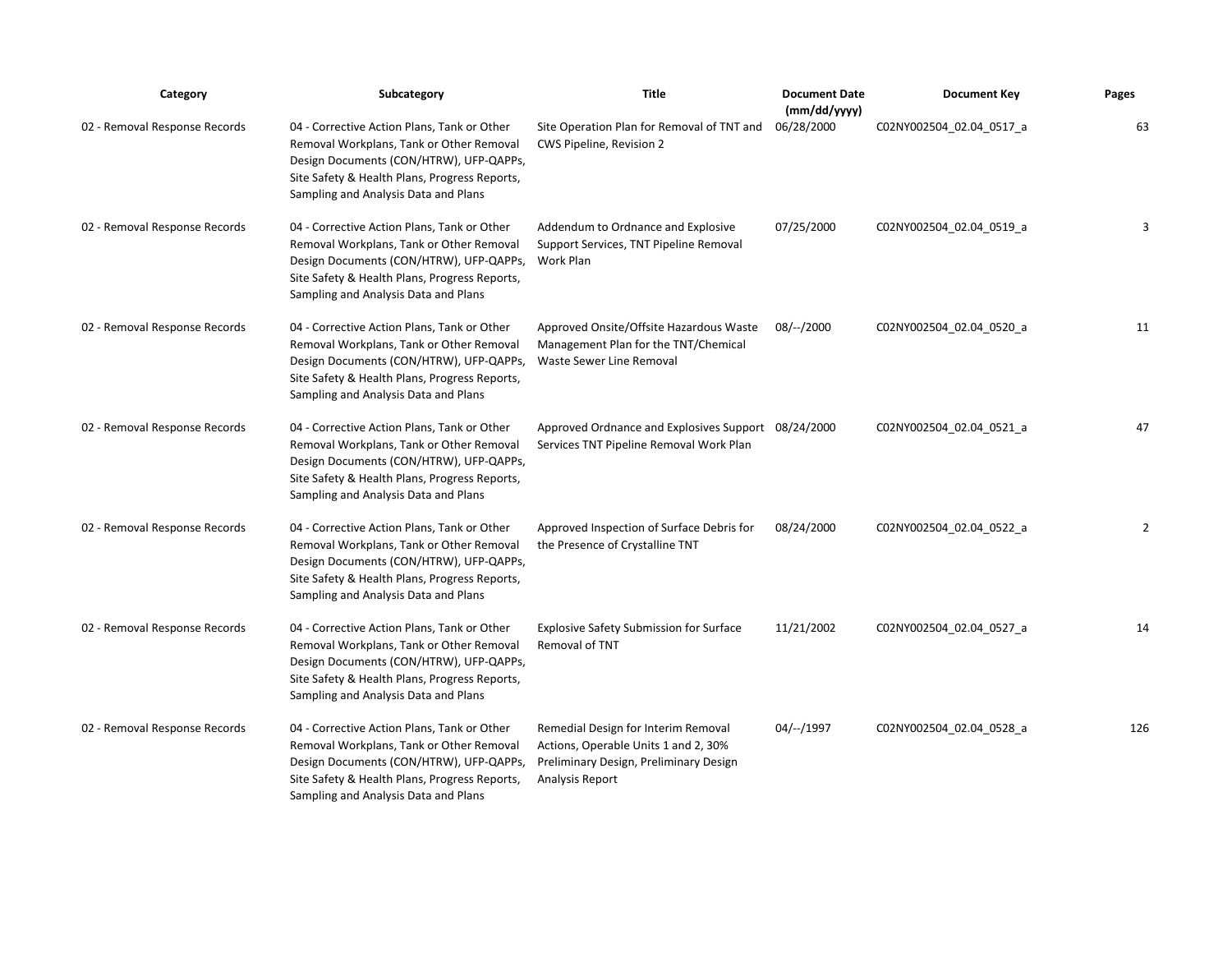| Category                      | Subcategory                                                                                                                                                                                                                 | <b>Title</b>                                                                                                                             | <b>Document Date</b><br>(mm/dd/yyyy) | <b>Document Key</b>      | Pages |
|-------------------------------|-----------------------------------------------------------------------------------------------------------------------------------------------------------------------------------------------------------------------------|------------------------------------------------------------------------------------------------------------------------------------------|--------------------------------------|--------------------------|-------|
| 02 - Removal Response Records | 04 - Corrective Action Plans, Tank or Other<br>Removal Workplans, Tank or Other Removal<br>Design Documents (CON/HTRW), UFP-QAPPs,<br>Site Safety & Health Plans, Progress Reports,<br>Sampling and Analysis Data and Plans | Site Operation Plan for Removal of TNT and<br>CWS Pipeline, Revision 2                                                                   | 06/28/2000                           | C02NY002504_02.04_0517_a | 63    |
| 02 - Removal Response Records | 04 - Corrective Action Plans, Tank or Other<br>Removal Workplans, Tank or Other Removal<br>Design Documents (CON/HTRW), UFP-QAPPs,<br>Site Safety & Health Plans, Progress Reports,<br>Sampling and Analysis Data and Plans | Addendum to Ordnance and Explosive<br>Support Services, TNT Pipeline Removal<br>Work Plan                                                | 07/25/2000                           | C02NY002504_02.04_0519_a | 3     |
| 02 - Removal Response Records | 04 - Corrective Action Plans, Tank or Other<br>Removal Workplans, Tank or Other Removal<br>Design Documents (CON/HTRW), UFP-QAPPs,<br>Site Safety & Health Plans, Progress Reports,<br>Sampling and Analysis Data and Plans | Approved Onsite/Offsite Hazardous Waste<br>Management Plan for the TNT/Chemical<br>Waste Sewer Line Removal                              | $08/-/2000$                          | C02NY002504_02.04_0520_a | 11    |
| 02 - Removal Response Records | 04 - Corrective Action Plans, Tank or Other<br>Removal Workplans, Tank or Other Removal<br>Design Documents (CON/HTRW), UFP-QAPPs,<br>Site Safety & Health Plans, Progress Reports,<br>Sampling and Analysis Data and Plans | Approved Ordnance and Explosives Support 08/24/2000<br>Services TNT Pipeline Removal Work Plan                                           |                                      | C02NY002504_02.04_0521_a | 47    |
| 02 - Removal Response Records | 04 - Corrective Action Plans, Tank or Other<br>Removal Workplans, Tank or Other Removal<br>Design Documents (CON/HTRW), UFP-QAPPs,<br>Site Safety & Health Plans, Progress Reports,<br>Sampling and Analysis Data and Plans | Approved Inspection of Surface Debris for<br>the Presence of Crystalline TNT                                                             | 08/24/2000                           | C02NY002504_02.04_0522_a | 2     |
| 02 - Removal Response Records | 04 - Corrective Action Plans, Tank or Other<br>Removal Workplans, Tank or Other Removal<br>Design Documents (CON/HTRW), UFP-QAPPs,<br>Site Safety & Health Plans, Progress Reports,<br>Sampling and Analysis Data and Plans | <b>Explosive Safety Submission for Surface</b><br>Removal of TNT                                                                         | 11/21/2002                           | C02NY002504_02.04_0527_a | 14    |
| 02 - Removal Response Records | 04 - Corrective Action Plans, Tank or Other<br>Removal Workplans, Tank or Other Removal<br>Design Documents (CON/HTRW), UFP-QAPPs,<br>Site Safety & Health Plans, Progress Reports,<br>Sampling and Analysis Data and Plans | Remedial Design for Interim Removal<br>Actions, Operable Units 1 and 2, 30%<br>Preliminary Design, Preliminary Design<br>Analysis Report | 04/--/1997                           | C02NY002504 02.04 0528 a | 126   |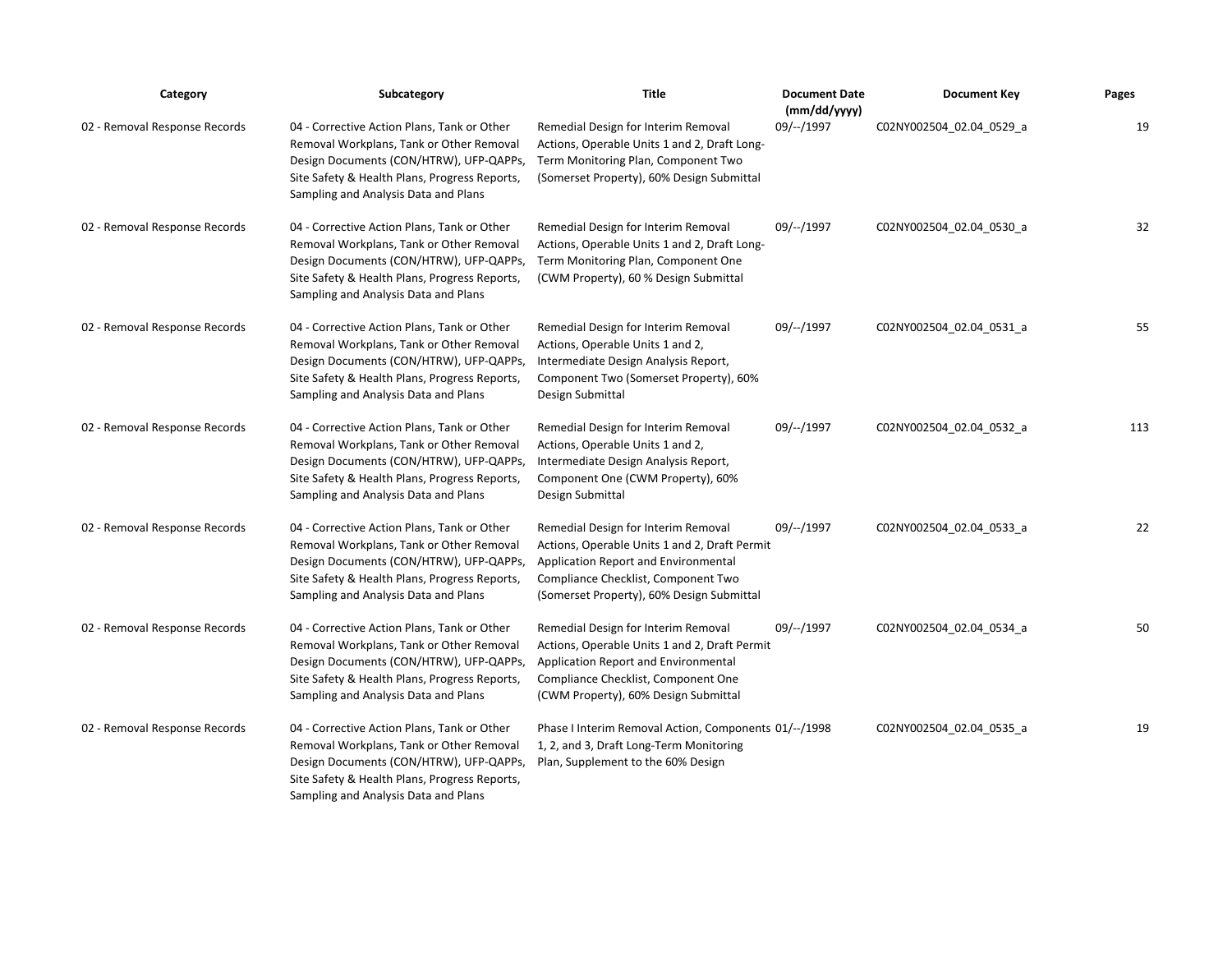| Category                      | Subcategory                                                                                                                                                                                                                 | <b>Title</b>                                                                                                                                                                                                     | <b>Document Date</b><br>(mm/dd/yyyy) | <b>Document Key</b>      | Pages |
|-------------------------------|-----------------------------------------------------------------------------------------------------------------------------------------------------------------------------------------------------------------------------|------------------------------------------------------------------------------------------------------------------------------------------------------------------------------------------------------------------|--------------------------------------|--------------------------|-------|
| 02 - Removal Response Records | 04 - Corrective Action Plans, Tank or Other<br>Removal Workplans, Tank or Other Removal<br>Design Documents (CON/HTRW), UFP-QAPPs,<br>Site Safety & Health Plans, Progress Reports,<br>Sampling and Analysis Data and Plans | Remedial Design for Interim Removal<br>Actions, Operable Units 1 and 2, Draft Long-<br>Term Monitoring Plan, Component Two<br>(Somerset Property), 60% Design Submittal                                          | 09/--/1997                           | C02NY002504_02.04_0529_a | 19    |
| 02 - Removal Response Records | 04 - Corrective Action Plans, Tank or Other<br>Removal Workplans, Tank or Other Removal<br>Design Documents (CON/HTRW), UFP-QAPPs,<br>Site Safety & Health Plans, Progress Reports,<br>Sampling and Analysis Data and Plans | Remedial Design for Interim Removal<br>Actions, Operable Units 1 and 2, Draft Long-<br>Term Monitoring Plan, Component One<br>(CWM Property), 60 % Design Submittal                                              | 09/--/1997                           | C02NY002504 02.04 0530 a | 32    |
| 02 - Removal Response Records | 04 - Corrective Action Plans, Tank or Other<br>Removal Workplans, Tank or Other Removal<br>Design Documents (CON/HTRW), UFP-QAPPs,<br>Site Safety & Health Plans, Progress Reports,<br>Sampling and Analysis Data and Plans | Remedial Design for Interim Removal<br>Actions, Operable Units 1 and 2,<br>Intermediate Design Analysis Report,<br>Component Two (Somerset Property), 60%<br>Design Submittal                                    | 09/--/1997                           | C02NY002504_02.04_0531_a | 55    |
| 02 - Removal Response Records | 04 - Corrective Action Plans, Tank or Other<br>Removal Workplans, Tank or Other Removal<br>Design Documents (CON/HTRW), UFP-QAPPs,<br>Site Safety & Health Plans, Progress Reports,<br>Sampling and Analysis Data and Plans | Remedial Design for Interim Removal<br>Actions, Operable Units 1 and 2,<br>Intermediate Design Analysis Report,<br>Component One (CWM Property), 60%<br>Design Submittal                                         | 09/--/1997                           | C02NY002504_02.04_0532_a | 113   |
| 02 - Removal Response Records | 04 - Corrective Action Plans, Tank or Other<br>Removal Workplans, Tank or Other Removal<br>Design Documents (CON/HTRW), UFP-QAPPs,<br>Site Safety & Health Plans, Progress Reports,<br>Sampling and Analysis Data and Plans | Remedial Design for Interim Removal<br>Actions, Operable Units 1 and 2, Draft Permit<br>Application Report and Environmental<br>Compliance Checklist, Component Two<br>(Somerset Property), 60% Design Submittal | 09/--/1997                           | C02NY002504 02.04 0533 a | 22    |
| 02 - Removal Response Records | 04 - Corrective Action Plans, Tank or Other<br>Removal Workplans, Tank or Other Removal<br>Design Documents (CON/HTRW), UFP-QAPPs,<br>Site Safety & Health Plans, Progress Reports,<br>Sampling and Analysis Data and Plans | Remedial Design for Interim Removal<br>Actions, Operable Units 1 and 2, Draft Permit<br>Application Report and Environmental<br>Compliance Checklist, Component One<br>(CWM Property), 60% Design Submittal      | 09/--/1997                           | C02NY002504_02.04_0534_a | 50    |
| 02 - Removal Response Records | 04 - Corrective Action Plans, Tank or Other<br>Removal Workplans, Tank or Other Removal<br>Design Documents (CON/HTRW), UFP-QAPPs,<br>Site Safety & Health Plans, Progress Reports,<br>Sampling and Analysis Data and Plans | Phase I Interim Removal Action, Components 01/--/1998<br>1, 2, and 3, Draft Long-Term Monitoring<br>Plan, Supplement to the 60% Design                                                                           |                                      | C02NY002504_02.04_0535_a | 19    |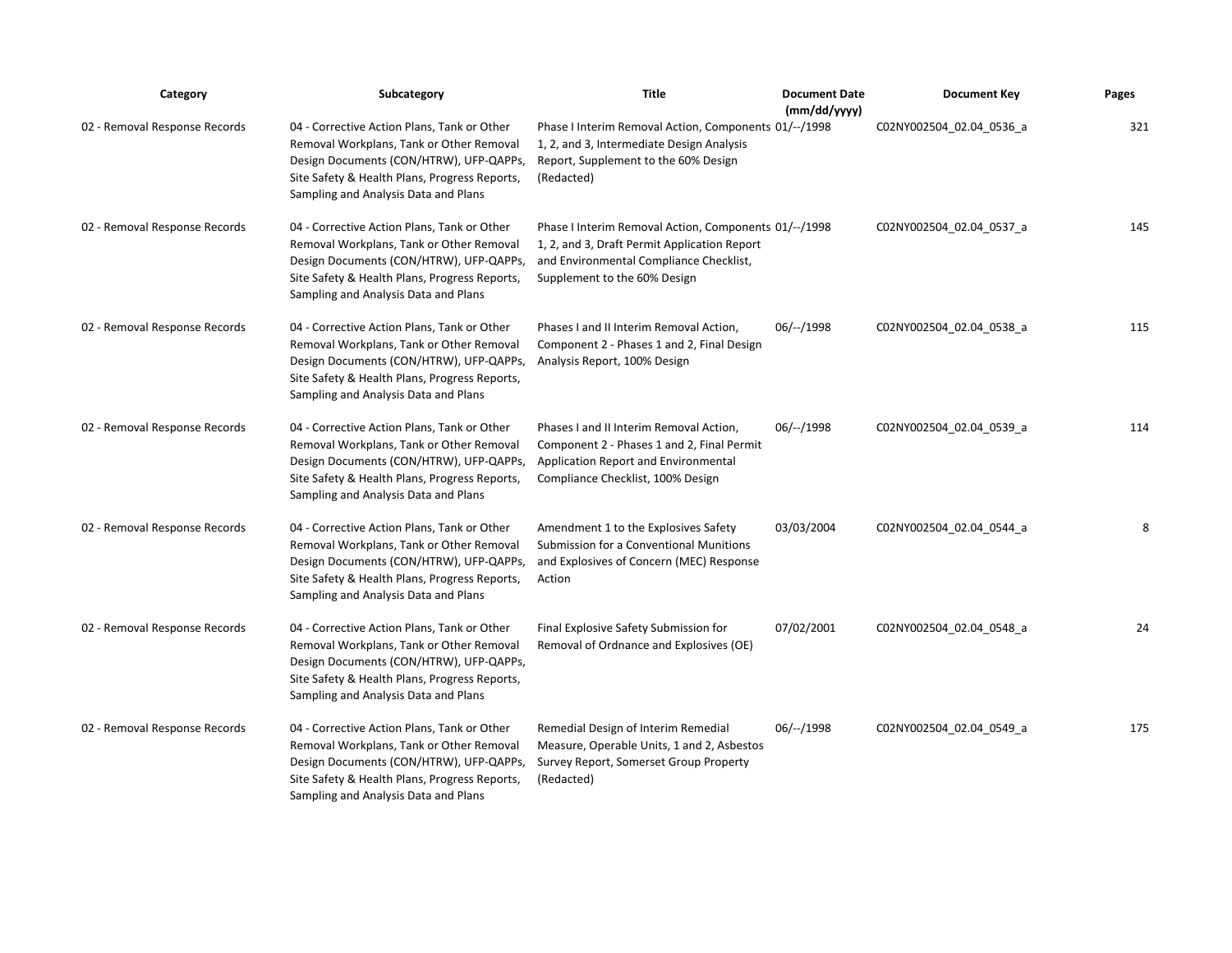| Category                      | Subcategory                                                                                                                                                                                                                 | <b>Title</b>                                                                                                                                                                     | <b>Document Date</b><br>(mm/dd/yyyy) | <b>Document Key</b>      | Pages |
|-------------------------------|-----------------------------------------------------------------------------------------------------------------------------------------------------------------------------------------------------------------------------|----------------------------------------------------------------------------------------------------------------------------------------------------------------------------------|--------------------------------------|--------------------------|-------|
| 02 - Removal Response Records | 04 - Corrective Action Plans, Tank or Other<br>Removal Workplans, Tank or Other Removal<br>Design Documents (CON/HTRW), UFP-QAPPs,<br>Site Safety & Health Plans, Progress Reports,<br>Sampling and Analysis Data and Plans | Phase I Interim Removal Action, Components 01/--/1998<br>1, 2, and 3, Intermediate Design Analysis<br>Report, Supplement to the 60% Design<br>(Redacted)                         |                                      | C02NY002504_02.04_0536_a | 321   |
| 02 - Removal Response Records | 04 - Corrective Action Plans, Tank or Other<br>Removal Workplans, Tank or Other Removal<br>Design Documents (CON/HTRW), UFP-QAPPs,<br>Site Safety & Health Plans, Progress Reports,<br>Sampling and Analysis Data and Plans | Phase I Interim Removal Action, Components 01/--/1998<br>1, 2, and 3, Draft Permit Application Report<br>and Environmental Compliance Checklist,<br>Supplement to the 60% Design |                                      | C02NY002504 02.04 0537 a | 145   |
| 02 - Removal Response Records | 04 - Corrective Action Plans, Tank or Other<br>Removal Workplans, Tank or Other Removal<br>Design Documents (CON/HTRW), UFP-QAPPs,<br>Site Safety & Health Plans, Progress Reports,<br>Sampling and Analysis Data and Plans | Phases I and II Interim Removal Action,<br>Component 2 - Phases 1 and 2, Final Design<br>Analysis Report, 100% Design                                                            | $06/-/1998$                          | C02NY002504_02.04_0538_a | 115   |
| 02 - Removal Response Records | 04 - Corrective Action Plans, Tank or Other<br>Removal Workplans, Tank or Other Removal<br>Design Documents (CON/HTRW), UFP-QAPPs,<br>Site Safety & Health Plans, Progress Reports,<br>Sampling and Analysis Data and Plans | Phases I and II Interim Removal Action,<br>Component 2 - Phases 1 and 2, Final Permit<br>Application Report and Environmental<br>Compliance Checklist, 100% Design               | 06/--/1998                           | C02NY002504 02.04 0539 a | 114   |
| 02 - Removal Response Records | 04 - Corrective Action Plans, Tank or Other<br>Removal Workplans, Tank or Other Removal<br>Design Documents (CON/HTRW), UFP-QAPPs,<br>Site Safety & Health Plans, Progress Reports,<br>Sampling and Analysis Data and Plans | Amendment 1 to the Explosives Safety<br>Submission for a Conventional Munitions<br>and Explosives of Concern (MEC) Response<br>Action                                            | 03/03/2004                           | C02NY002504_02.04_0544_a | 8     |
| 02 - Removal Response Records | 04 - Corrective Action Plans, Tank or Other<br>Removal Workplans, Tank or Other Removal<br>Design Documents (CON/HTRW), UFP-QAPPs,<br>Site Safety & Health Plans, Progress Reports,<br>Sampling and Analysis Data and Plans | Final Explosive Safety Submission for<br>Removal of Ordnance and Explosives (OE)                                                                                                 | 07/02/2001                           | C02NY002504 02.04 0548 a | 24    |
| 02 - Removal Response Records | 04 - Corrective Action Plans, Tank or Other<br>Removal Workplans, Tank or Other Removal<br>Design Documents (CON/HTRW), UFP-QAPPs,<br>Site Safety & Health Plans, Progress Reports,<br>Sampling and Analysis Data and Plans | Remedial Design of Interim Remedial<br>Measure, Operable Units, 1 and 2, Asbestos<br>Survey Report, Somerset Group Property<br>(Redacted)                                        | $06/-/1998$                          | C02NY002504_02.04_0549_a | 175   |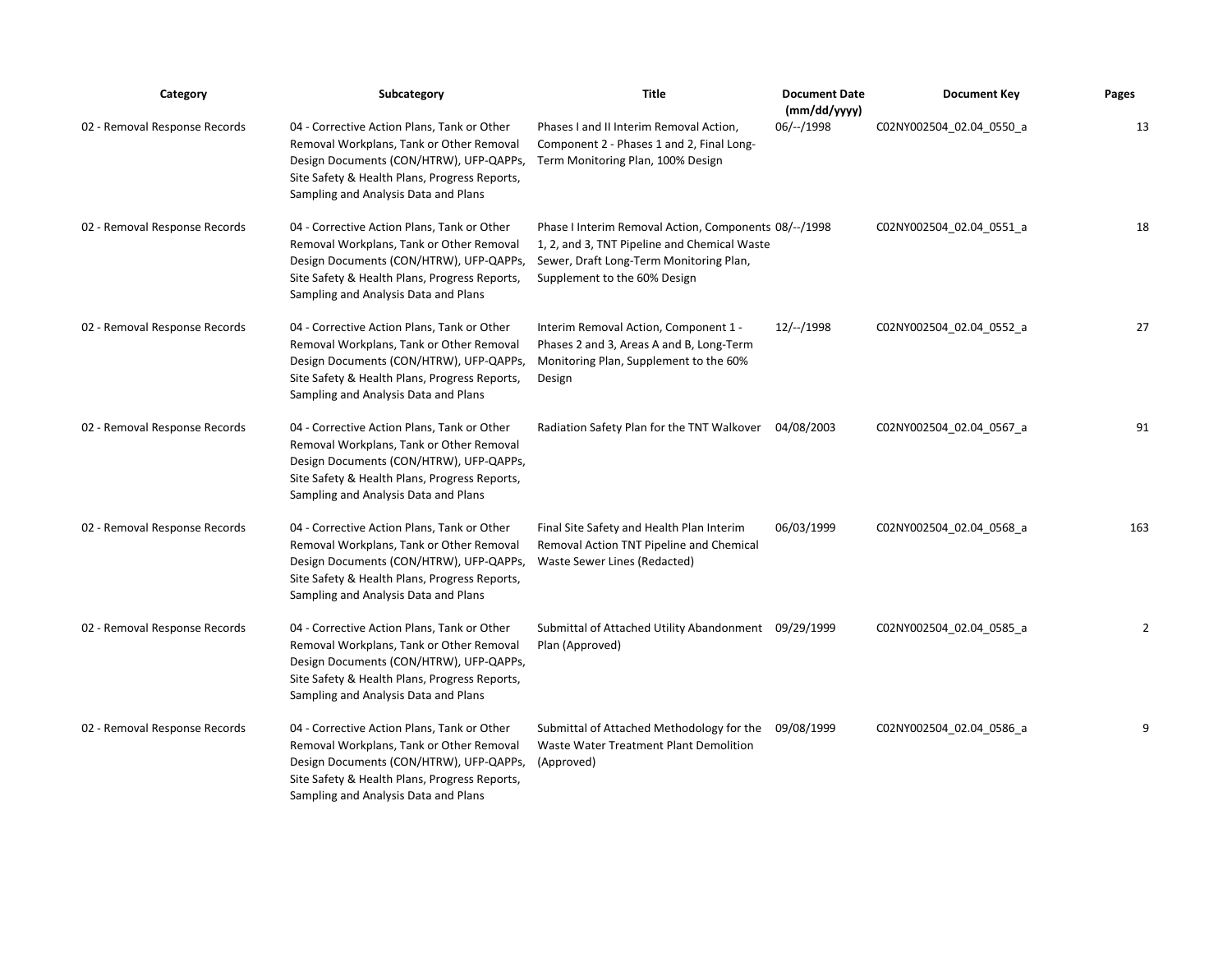| Category                      | Subcategory                                                                                                                                                                                                                 | <b>Title</b>                                                                                                                                                                     | <b>Document Date</b><br>(mm/dd/yyyy) | <b>Document Key</b>      | Pages |
|-------------------------------|-----------------------------------------------------------------------------------------------------------------------------------------------------------------------------------------------------------------------------|----------------------------------------------------------------------------------------------------------------------------------------------------------------------------------|--------------------------------------|--------------------------|-------|
| 02 - Removal Response Records | 04 - Corrective Action Plans, Tank or Other<br>Removal Workplans, Tank or Other Removal<br>Design Documents (CON/HTRW), UFP-QAPPs,<br>Site Safety & Health Plans, Progress Reports,<br>Sampling and Analysis Data and Plans | Phases I and II Interim Removal Action,<br>Component 2 - Phases 1 and 2, Final Long-<br>Term Monitoring Plan, 100% Design                                                        | $06/-/1998$                          | C02NY002504 02.04 0550 a | 13    |
| 02 - Removal Response Records | 04 - Corrective Action Plans, Tank or Other<br>Removal Workplans, Tank or Other Removal<br>Design Documents (CON/HTRW), UFP-QAPPs,<br>Site Safety & Health Plans, Progress Reports,<br>Sampling and Analysis Data and Plans | Phase I Interim Removal Action, Components 08/--/1998<br>1, 2, and 3, TNT Pipeline and Chemical Waste<br>Sewer, Draft Long-Term Monitoring Plan,<br>Supplement to the 60% Design |                                      | C02NY002504_02.04_0551_a | 18    |
| 02 - Removal Response Records | 04 - Corrective Action Plans, Tank or Other<br>Removal Workplans, Tank or Other Removal<br>Design Documents (CON/HTRW), UFP-QAPPs,<br>Site Safety & Health Plans, Progress Reports,<br>Sampling and Analysis Data and Plans | Interim Removal Action, Component 1 -<br>Phases 2 and 3, Areas A and B, Long-Term<br>Monitoring Plan, Supplement to the 60%<br>Design                                            | $12/-/1998$                          | C02NY002504 02.04 0552 a | 27    |
| 02 - Removal Response Records | 04 - Corrective Action Plans, Tank or Other<br>Removal Workplans, Tank or Other Removal<br>Design Documents (CON/HTRW), UFP-QAPPs,<br>Site Safety & Health Plans, Progress Reports,<br>Sampling and Analysis Data and Plans | Radiation Safety Plan for the TNT Walkover                                                                                                                                       | 04/08/2003                           | C02NY002504 02.04 0567 a | 91    |
| 02 - Removal Response Records | 04 - Corrective Action Plans, Tank or Other<br>Removal Workplans, Tank or Other Removal<br>Design Documents (CON/HTRW), UFP-QAPPs,<br>Site Safety & Health Plans, Progress Reports,<br>Sampling and Analysis Data and Plans | Final Site Safety and Health Plan Interim<br>Removal Action TNT Pipeline and Chemical<br>Waste Sewer Lines (Redacted)                                                            | 06/03/1999                           | C02NY002504 02.04 0568 a | 163   |
| 02 - Removal Response Records | 04 - Corrective Action Plans, Tank or Other<br>Removal Workplans, Tank or Other Removal<br>Design Documents (CON/HTRW), UFP-QAPPs,<br>Site Safety & Health Plans, Progress Reports,<br>Sampling and Analysis Data and Plans | Submittal of Attached Utility Abandonment 09/29/1999<br>Plan (Approved)                                                                                                          |                                      | C02NY002504_02.04_0585_a | 2     |
| 02 - Removal Response Records | 04 - Corrective Action Plans, Tank or Other<br>Removal Workplans, Tank or Other Removal<br>Design Documents (CON/HTRW), UFP-QAPPs,<br>Site Safety & Health Plans, Progress Reports,<br>Sampling and Analysis Data and Plans | Submittal of Attached Methodology for the<br>Waste Water Treatment Plant Demolition<br>(Approved)                                                                                | 09/08/1999                           | C02NY002504 02.04 0586 a | 9     |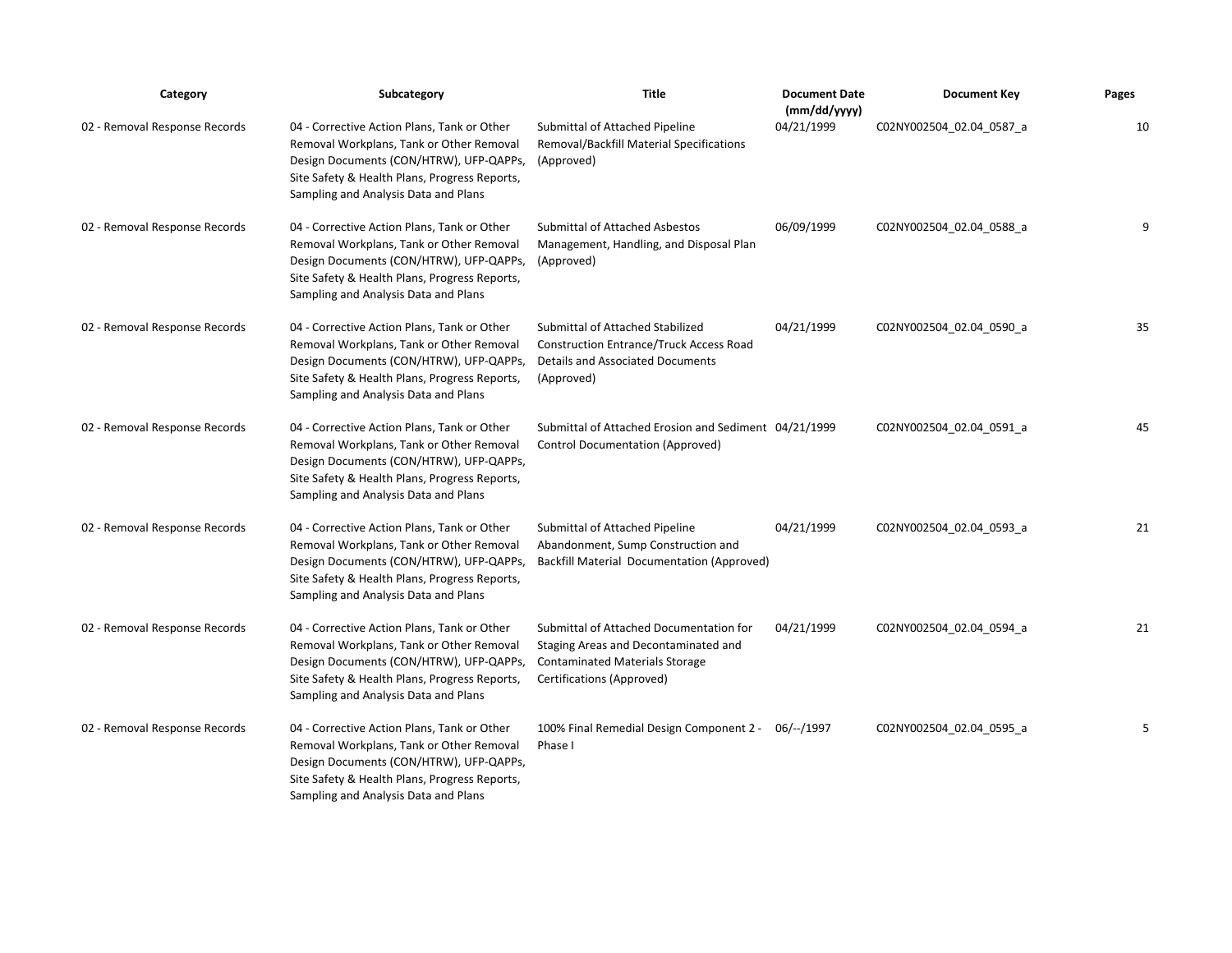| Category                      | Subcategory                                                                                                                                                                                                                 | <b>Title</b>                                                                                                                                          | <b>Document Date</b><br>(mm/dd/yyyy) | <b>Document Key</b>      | Pages |
|-------------------------------|-----------------------------------------------------------------------------------------------------------------------------------------------------------------------------------------------------------------------------|-------------------------------------------------------------------------------------------------------------------------------------------------------|--------------------------------------|--------------------------|-------|
| 02 - Removal Response Records | 04 - Corrective Action Plans, Tank or Other<br>Removal Workplans, Tank or Other Removal<br>Design Documents (CON/HTRW), UFP-QAPPs,<br>Site Safety & Health Plans, Progress Reports,<br>Sampling and Analysis Data and Plans | Submittal of Attached Pipeline<br>Removal/Backfill Material Specifications<br>(Approved)                                                              | 04/21/1999                           | C02NY002504_02.04_0587_a | 10    |
| 02 - Removal Response Records | 04 - Corrective Action Plans, Tank or Other<br>Removal Workplans, Tank or Other Removal<br>Design Documents (CON/HTRW), UFP-QAPPs,<br>Site Safety & Health Plans, Progress Reports,<br>Sampling and Analysis Data and Plans | <b>Submittal of Attached Asbestos</b><br>Management, Handling, and Disposal Plan<br>(Approved)                                                        | 06/09/1999                           | C02NY002504 02.04 0588 a | q     |
| 02 - Removal Response Records | 04 - Corrective Action Plans, Tank or Other<br>Removal Workplans, Tank or Other Removal<br>Design Documents (CON/HTRW), UFP-QAPPs,<br>Site Safety & Health Plans, Progress Reports,<br>Sampling and Analysis Data and Plans | Submittal of Attached Stabilized<br><b>Construction Entrance/Truck Access Road</b><br><b>Details and Associated Documents</b><br>(Approved)           | 04/21/1999                           | C02NY002504 02.04 0590 a | 35    |
| 02 - Removal Response Records | 04 - Corrective Action Plans, Tank or Other<br>Removal Workplans, Tank or Other Removal<br>Design Documents (CON/HTRW), UFP-QAPPs,<br>Site Safety & Health Plans, Progress Reports,<br>Sampling and Analysis Data and Plans | Submittal of Attached Erosion and Sediment 04/21/1999<br><b>Control Documentation (Approved)</b>                                                      |                                      | C02NY002504 02.04 0591 a | 45    |
| 02 - Removal Response Records | 04 - Corrective Action Plans, Tank or Other<br>Removal Workplans, Tank or Other Removal<br>Design Documents (CON/HTRW), UFP-QAPPs,<br>Site Safety & Health Plans, Progress Reports,<br>Sampling and Analysis Data and Plans | Submittal of Attached Pipeline<br>Abandonment, Sump Construction and<br><b>Backfill Material Documentation (Approved)</b>                             | 04/21/1999                           | C02NY002504 02.04 0593 a | 21    |
| 02 - Removal Response Records | 04 - Corrective Action Plans, Tank or Other<br>Removal Workplans, Tank or Other Removal<br>Design Documents (CON/HTRW), UFP-QAPPs,<br>Site Safety & Health Plans, Progress Reports,<br>Sampling and Analysis Data and Plans | Submittal of Attached Documentation for<br>Staging Areas and Decontaminated and<br><b>Contaminated Materials Storage</b><br>Certifications (Approved) | 04/21/1999                           | C02NY002504 02.04 0594 a | 21    |
| 02 - Removal Response Records | 04 - Corrective Action Plans, Tank or Other<br>Removal Workplans, Tank or Other Removal<br>Design Documents (CON/HTRW), UFP-QAPPs,<br>Site Safety & Health Plans, Progress Reports,<br>Sampling and Analysis Data and Plans | 100% Final Remedial Design Component 2 - 06/--/1997<br>Phase I                                                                                        |                                      | C02NY002504 02.04 0595 a | 5     |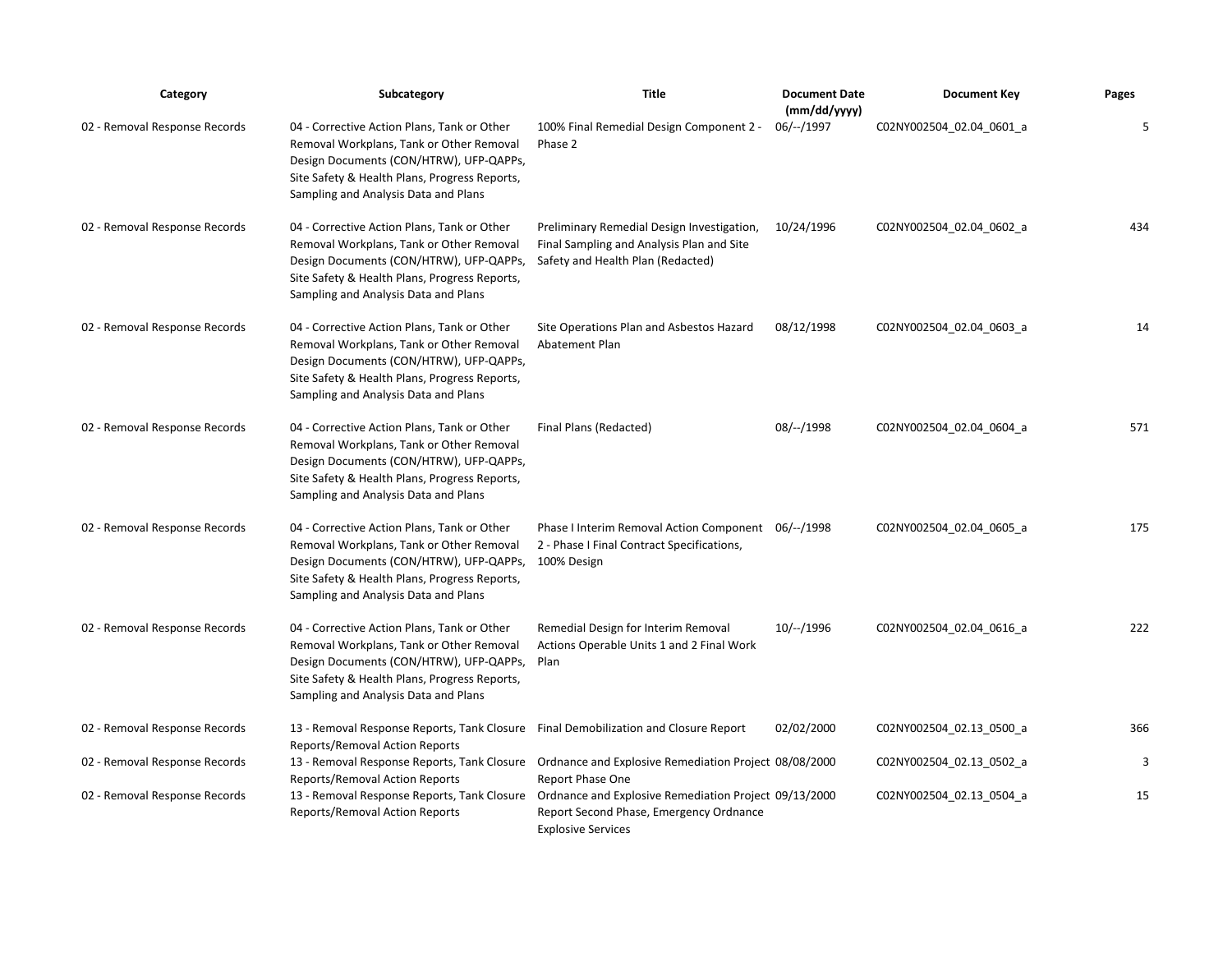| Category                      | Subcategory                                                                                                                                                                                                                 | <b>Title</b>                                                                                                                 | <b>Document Date</b><br>(mm/dd/yyyy) | <b>Document Key</b>      | Pages |
|-------------------------------|-----------------------------------------------------------------------------------------------------------------------------------------------------------------------------------------------------------------------------|------------------------------------------------------------------------------------------------------------------------------|--------------------------------------|--------------------------|-------|
| 02 - Removal Response Records | 04 - Corrective Action Plans, Tank or Other<br>Removal Workplans, Tank or Other Removal<br>Design Documents (CON/HTRW), UFP-QAPPs,<br>Site Safety & Health Plans, Progress Reports,<br>Sampling and Analysis Data and Plans | 100% Final Remedial Design Component 2 -<br>Phase 2                                                                          | $06/-/1997$                          | C02NY002504_02.04_0601_a | 5     |
| 02 - Removal Response Records | 04 - Corrective Action Plans, Tank or Other<br>Removal Workplans, Tank or Other Removal<br>Design Documents (CON/HTRW), UFP-QAPPs,<br>Site Safety & Health Plans, Progress Reports,<br>Sampling and Analysis Data and Plans | Preliminary Remedial Design Investigation,<br>Final Sampling and Analysis Plan and Site<br>Safety and Health Plan (Redacted) | 10/24/1996                           | C02NY002504 02.04 0602 a | 434   |
| 02 - Removal Response Records | 04 - Corrective Action Plans, Tank or Other<br>Removal Workplans, Tank or Other Removal<br>Design Documents (CON/HTRW), UFP-QAPPs,<br>Site Safety & Health Plans, Progress Reports,<br>Sampling and Analysis Data and Plans | Site Operations Plan and Asbestos Hazard<br><b>Abatement Plan</b>                                                            | 08/12/1998                           | C02NY002504_02.04_0603_a | 14    |
| 02 - Removal Response Records | 04 - Corrective Action Plans, Tank or Other<br>Removal Workplans, Tank or Other Removal<br>Design Documents (CON/HTRW), UFP-QAPPs,<br>Site Safety & Health Plans, Progress Reports,<br>Sampling and Analysis Data and Plans | Final Plans (Redacted)                                                                                                       | 08/--/1998                           | C02NY002504_02.04_0604_a | 571   |
| 02 - Removal Response Records | 04 - Corrective Action Plans, Tank or Other<br>Removal Workplans, Tank or Other Removal<br>Design Documents (CON/HTRW), UFP-QAPPs,<br>Site Safety & Health Plans, Progress Reports,<br>Sampling and Analysis Data and Plans | Phase I Interim Removal Action Component 06/--/1998<br>2 - Phase I Final Contract Specifications,<br>100% Design             |                                      | C02NY002504_02.04_0605_a | 175   |
| 02 - Removal Response Records | 04 - Corrective Action Plans, Tank or Other<br>Removal Workplans, Tank or Other Removal<br>Design Documents (CON/HTRW), UFP-QAPPs,<br>Site Safety & Health Plans, Progress Reports,<br>Sampling and Analysis Data and Plans | Remedial Design for Interim Removal<br>Actions Operable Units 1 and 2 Final Work<br>Plan                                     | $10/-/1996$                          | C02NY002504_02.04_0616_a | 222   |
| 02 - Removal Response Records | 13 - Removal Response Reports, Tank Closure Final Demobilization and Closure Report<br><b>Reports/Removal Action Reports</b>                                                                                                |                                                                                                                              | 02/02/2000                           | C02NY002504 02.13 0500 a | 366   |
| 02 - Removal Response Records | 13 - Removal Response Reports, Tank Closure Ordnance and Explosive Remediation Project 08/08/2000<br><b>Reports/Removal Action Reports</b>                                                                                  | <b>Report Phase One</b>                                                                                                      |                                      | C02NY002504_02.13_0502_a | 3     |
| 02 - Removal Response Records | 13 - Removal Response Reports, Tank Closure Ordnance and Explosive Remediation Project 09/13/2000<br><b>Reports/Removal Action Reports</b>                                                                                  | Report Second Phase, Emergency Ordnance<br><b>Explosive Services</b>                                                         |                                      | C02NY002504_02.13_0504_a | 15    |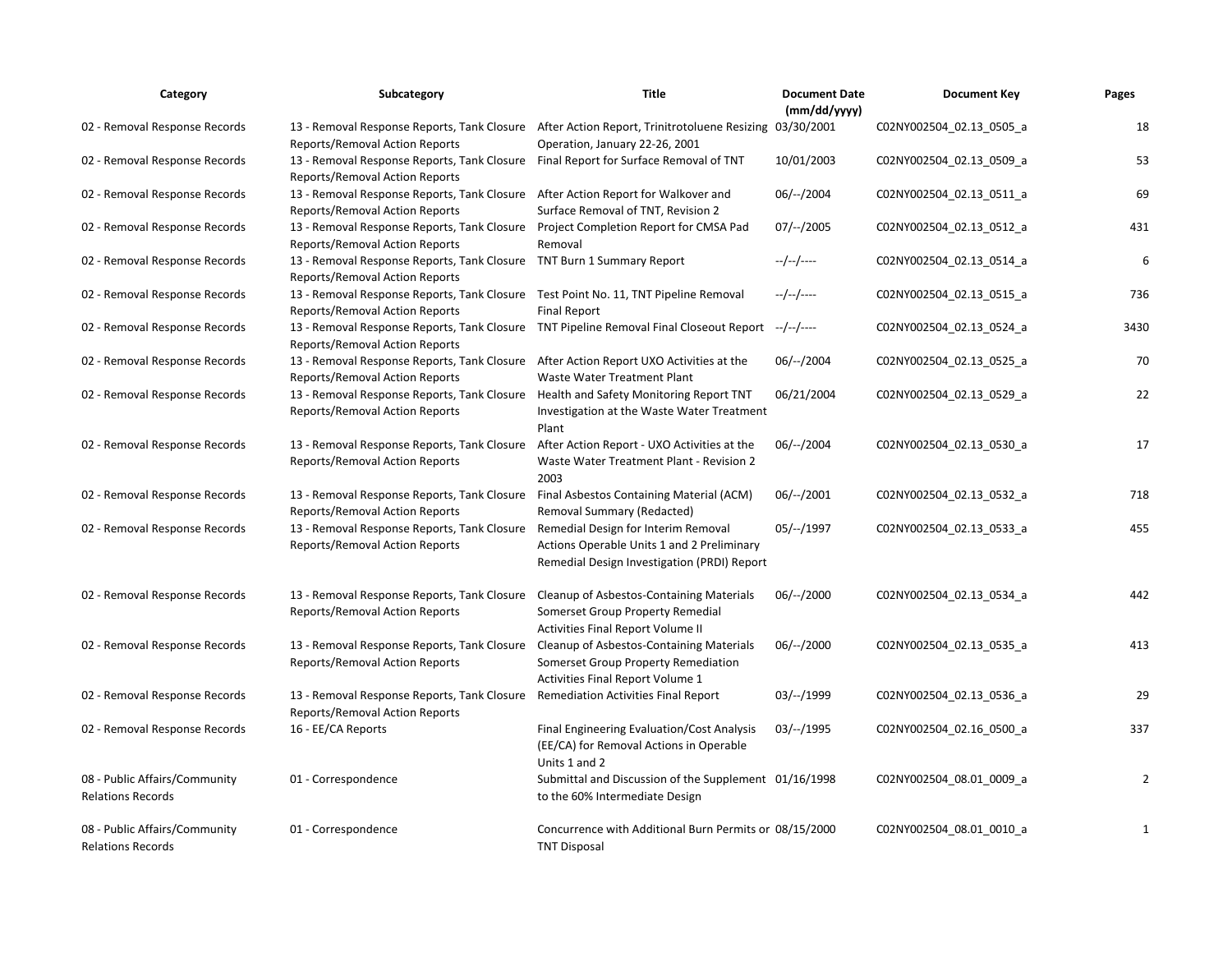| Category                                                  | Subcategory                                                                                                                                   | <b>Title</b>                                                                                                                     | <b>Document Date</b><br>(mm/dd/yyyy) | <b>Document Key</b>      | Pages          |
|-----------------------------------------------------------|-----------------------------------------------------------------------------------------------------------------------------------------------|----------------------------------------------------------------------------------------------------------------------------------|--------------------------------------|--------------------------|----------------|
| 02 - Removal Response Records                             | 13 - Removal Response Reports, Tank Closure After Action Report, Trinitrotoluene Resizing 03/30/2001<br><b>Reports/Removal Action Reports</b> | Operation, January 22-26, 2001                                                                                                   |                                      | C02NY002504_02.13_0505_a | 18             |
| 02 - Removal Response Records                             | 13 - Removal Response Reports, Tank Closure Final Report for Surface Removal of TNT<br>Reports/Removal Action Reports                         |                                                                                                                                  | 10/01/2003                           | C02NY002504_02.13_0509_a | 53             |
| 02 - Removal Response Records                             | 13 - Removal Response Reports, Tank Closure After Action Report for Walkover and<br>Reports/Removal Action Reports                            | Surface Removal of TNT, Revision 2                                                                                               | $06/-/2004$                          | C02NY002504 02.13 0511 a | 69             |
| 02 - Removal Response Records                             | 13 - Removal Response Reports, Tank Closure Project Completion Report for CMSA Pad<br><b>Reports/Removal Action Reports</b>                   | Removal                                                                                                                          | $07/-/2005$                          | C02NY002504_02.13_0512_a | 431            |
| 02 - Removal Response Records                             | 13 - Removal Response Reports, Tank Closure TNT Burn 1 Summary Report<br>Reports/Removal Action Reports                                       |                                                                                                                                  | $-/-/-/---$                          | C02NY002504_02.13_0514_a | 6              |
| 02 - Removal Response Records                             | 13 - Removal Response Reports, Tank Closure Test Point No. 11, TNT Pipeline Removal<br>Reports/Removal Action Reports                         | <b>Final Report</b>                                                                                                              | --/--/----                           | C02NY002504_02.13_0515_a | 736            |
| 02 - Removal Response Records                             | 13 - Removal Response Reports, Tank Closure TNT Pipeline Removal Final Closeout Report --/--/----<br>Reports/Removal Action Reports           |                                                                                                                                  |                                      | C02NY002504_02.13_0524_a | 3430           |
| 02 - Removal Response Records                             | 13 - Removal Response Reports, Tank Closure After Action Report UXO Activities at the<br>Reports/Removal Action Reports                       | Waste Water Treatment Plant                                                                                                      | $06/-/2004$                          | C02NY002504_02.13_0525_a | 70             |
| 02 - Removal Response Records                             | 13 - Removal Response Reports, Tank Closure Health and Safety Monitoring Report TNT<br><b>Reports/Removal Action Reports</b>                  | Investigation at the Waste Water Treatment<br>Plant                                                                              | 06/21/2004                           | C02NY002504_02.13_0529_a | 22             |
| 02 - Removal Response Records                             | 13 - Removal Response Reports, Tank Closure After Action Report - UXO Activities at the<br><b>Reports/Removal Action Reports</b>              | Waste Water Treatment Plant - Revision 2<br>2003                                                                                 | $06/-/2004$                          | C02NY002504_02.13_0530_a | 17             |
| 02 - Removal Response Records                             | 13 - Removal Response Reports, Tank Closure<br>Reports/Removal Action Reports                                                                 | Final Asbestos Containing Material (ACM)<br>Removal Summary (Redacted)                                                           | $06/-/2001$                          | C02NY002504_02.13_0532_a | 718            |
| 02 - Removal Response Records                             | 13 - Removal Response Reports, Tank Closure<br>Reports/Removal Action Reports                                                                 | Remedial Design for Interim Removal<br>Actions Operable Units 1 and 2 Preliminary<br>Remedial Design Investigation (PRDI) Report | 05/--/1997                           | C02NY002504 02.13 0533 a | 455            |
| 02 - Removal Response Records                             | 13 - Removal Response Reports, Tank Closure<br>Reports/Removal Action Reports                                                                 | <b>Cleanup of Asbestos-Containing Materials</b><br>Somerset Group Property Remedial<br>Activities Final Report Volume II         | $06/-/2000$                          | C02NY002504 02.13 0534 a | 442            |
| 02 - Removal Response Records                             | 13 - Removal Response Reports, Tank Closure Cleanup of Asbestos-Containing Materials<br>Reports/Removal Action Reports                        | Somerset Group Property Remediation<br>Activities Final Report Volume 1                                                          | $06/-/2000$                          | C02NY002504_02.13_0535_a | 413            |
| 02 - Removal Response Records                             | 13 - Removal Response Reports, Tank Closure<br>Reports/Removal Action Reports                                                                 | <b>Remediation Activities Final Report</b>                                                                                       | 03/--/1999                           | C02NY002504_02.13_0536_a | 29             |
| 02 - Removal Response Records                             | 16 - EE/CA Reports                                                                                                                            | Final Engineering Evaluation/Cost Analysis<br>(EE/CA) for Removal Actions in Operable<br>Units 1 and 2                           | $03/--/1995$                         | C02NY002504_02.16_0500_a | 337            |
| 08 - Public Affairs/Community<br><b>Relations Records</b> | 01 - Correspondence                                                                                                                           | Submittal and Discussion of the Supplement 01/16/1998<br>to the 60% Intermediate Design                                          |                                      | C02NY002504_08.01_0009_a | $\overline{2}$ |
| 08 - Public Affairs/Community<br><b>Relations Records</b> | 01 - Correspondence                                                                                                                           | Concurrence with Additional Burn Permits or 08/15/2000<br><b>TNT Disposal</b>                                                    |                                      | C02NY002504_08.01_0010_a | 1              |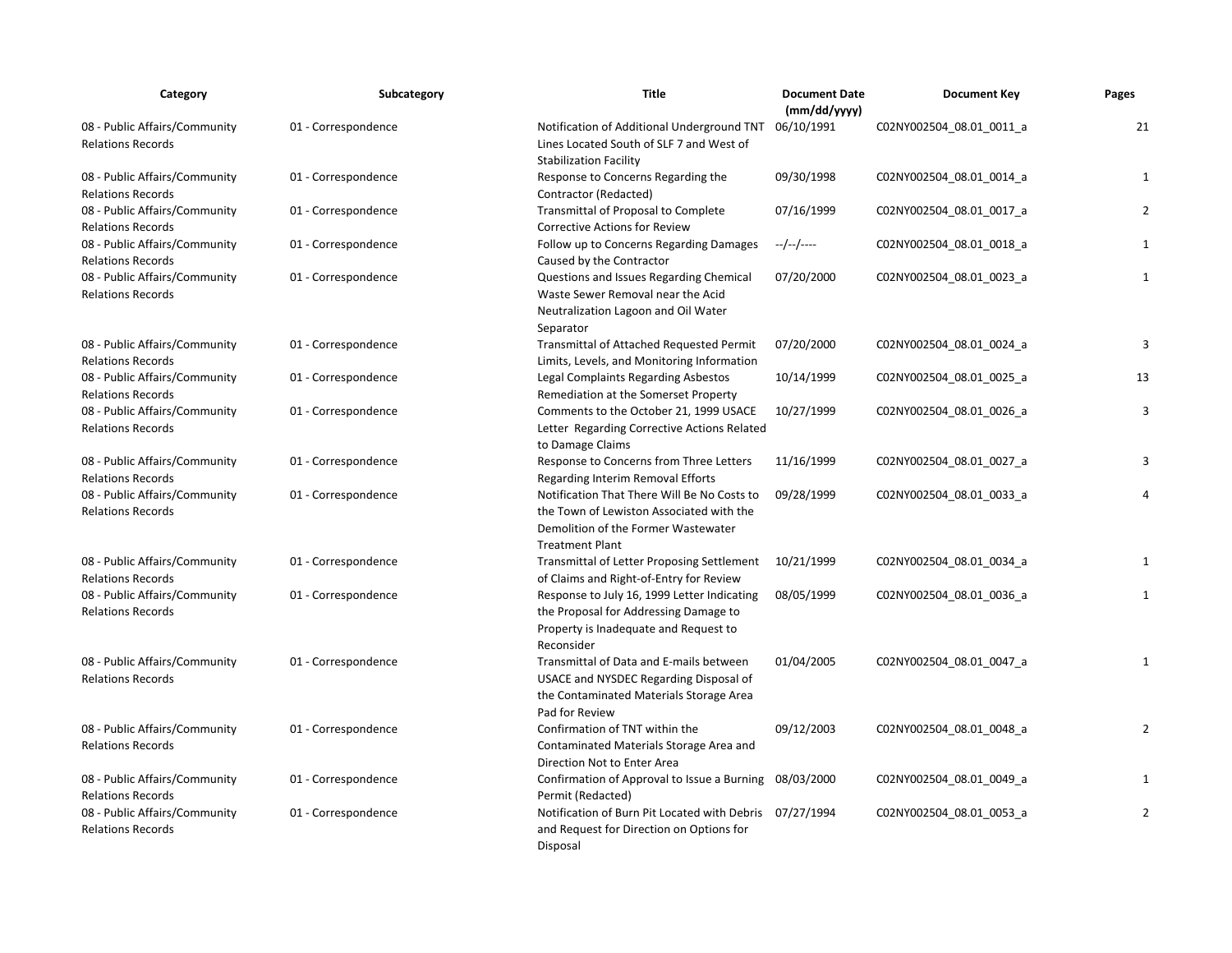| Category                                                  | Subcategory         | Title                                                                                                                                                    | <b>Document Date</b><br>(mm/dd/yyyy) | <b>Document Key</b>      | Pages          |
|-----------------------------------------------------------|---------------------|----------------------------------------------------------------------------------------------------------------------------------------------------------|--------------------------------------|--------------------------|----------------|
| 08 - Public Affairs/Community<br><b>Relations Records</b> | 01 - Correspondence | Notification of Additional Underground TNT<br>Lines Located South of SLF 7 and West of<br><b>Stabilization Facility</b>                                  | 06/10/1991                           | C02NY002504 08.01 0011 a | 21             |
| 08 - Public Affairs/Community<br><b>Relations Records</b> | 01 - Correspondence | Response to Concerns Regarding the<br>Contractor (Redacted)                                                                                              | 09/30/1998                           | C02NY002504_08.01_0014_a | $\mathbf{1}$   |
| 08 - Public Affairs/Community<br><b>Relations Records</b> | 01 - Correspondence | <b>Transmittal of Proposal to Complete</b><br><b>Corrective Actions for Review</b>                                                                       | 07/16/1999                           | C02NY002504_08.01_0017_a | $\overline{2}$ |
| 08 - Public Affairs/Community<br><b>Relations Records</b> | 01 - Correspondence | Follow up to Concerns Regarding Damages<br>Caused by the Contractor                                                                                      | --/--/----                           | C02NY002504_08.01_0018_a | $\mathbf{1}$   |
| 08 - Public Affairs/Community<br><b>Relations Records</b> | 01 - Correspondence | Questions and Issues Regarding Chemical<br>Waste Sewer Removal near the Acid<br>Neutralization Lagoon and Oil Water<br>Separator                         | 07/20/2000                           | C02NY002504_08.01_0023_a | $\mathbf{1}$   |
| 08 - Public Affairs/Community<br><b>Relations Records</b> | 01 - Correspondence | Transmittal of Attached Requested Permit<br>Limits, Levels, and Monitoring Information                                                                   | 07/20/2000                           | C02NY002504_08.01_0024_a | 3              |
| 08 - Public Affairs/Community<br><b>Relations Records</b> | 01 - Correspondence | Legal Complaints Regarding Asbestos<br>Remediation at the Somerset Property                                                                              | 10/14/1999                           | C02NY002504 08.01 0025 a | 13             |
| 08 - Public Affairs/Community<br><b>Relations Records</b> | 01 - Correspondence | Comments to the October 21, 1999 USACE<br>Letter Regarding Corrective Actions Related<br>to Damage Claims                                                | 10/27/1999                           | C02NY002504_08.01_0026_a | 3              |
| 08 - Public Affairs/Community<br><b>Relations Records</b> | 01 - Correspondence | Response to Concerns from Three Letters<br>Regarding Interim Removal Efforts                                                                             | 11/16/1999                           | C02NY002504 08.01 0027 a | 3              |
| 08 - Public Affairs/Community<br><b>Relations Records</b> | 01 - Correspondence | Notification That There Will Be No Costs to<br>the Town of Lewiston Associated with the<br>Demolition of the Former Wastewater<br><b>Treatment Plant</b> | 09/28/1999                           | C02NY002504_08.01_0033_a | $\overline{4}$ |
| 08 - Public Affairs/Community<br><b>Relations Records</b> | 01 - Correspondence | Transmittal of Letter Proposing Settlement<br>of Claims and Right-of-Entry for Review                                                                    | 10/21/1999                           | C02NY002504_08.01_0034_a | 1              |
| 08 - Public Affairs/Community<br><b>Relations Records</b> | 01 - Correspondence | Response to July 16, 1999 Letter Indicating<br>the Proposal for Addressing Damage to<br>Property is Inadequate and Request to<br>Reconsider              | 08/05/1999                           | C02NY002504_08.01_0036_a | $\mathbf{1}$   |
| 08 - Public Affairs/Community<br><b>Relations Records</b> | 01 - Correspondence | Transmittal of Data and E-mails between<br>USACE and NYSDEC Regarding Disposal of<br>the Contaminated Materials Storage Area<br>Pad for Review           | 01/04/2005                           | C02NY002504_08.01_0047_a | $\mathbf{1}$   |
| 08 - Public Affairs/Community<br><b>Relations Records</b> | 01 - Correspondence | Confirmation of TNT within the<br>Contaminated Materials Storage Area and<br>Direction Not to Enter Area                                                 | 09/12/2003                           | C02NY002504_08.01_0048_a | $\overline{2}$ |
| 08 - Public Affairs/Community<br><b>Relations Records</b> | 01 - Correspondence | Confirmation of Approval to Issue a Burning<br>Permit (Redacted)                                                                                         | 08/03/2000                           | C02NY002504_08.01_0049_a | $\mathbf{1}$   |
| 08 - Public Affairs/Community<br><b>Relations Records</b> | 01 - Correspondence | Notification of Burn Pit Located with Debris 07/27/1994<br>and Request for Direction on Options for<br>Disposal                                          |                                      | C02NY002504 08.01 0053 a | $\overline{2}$ |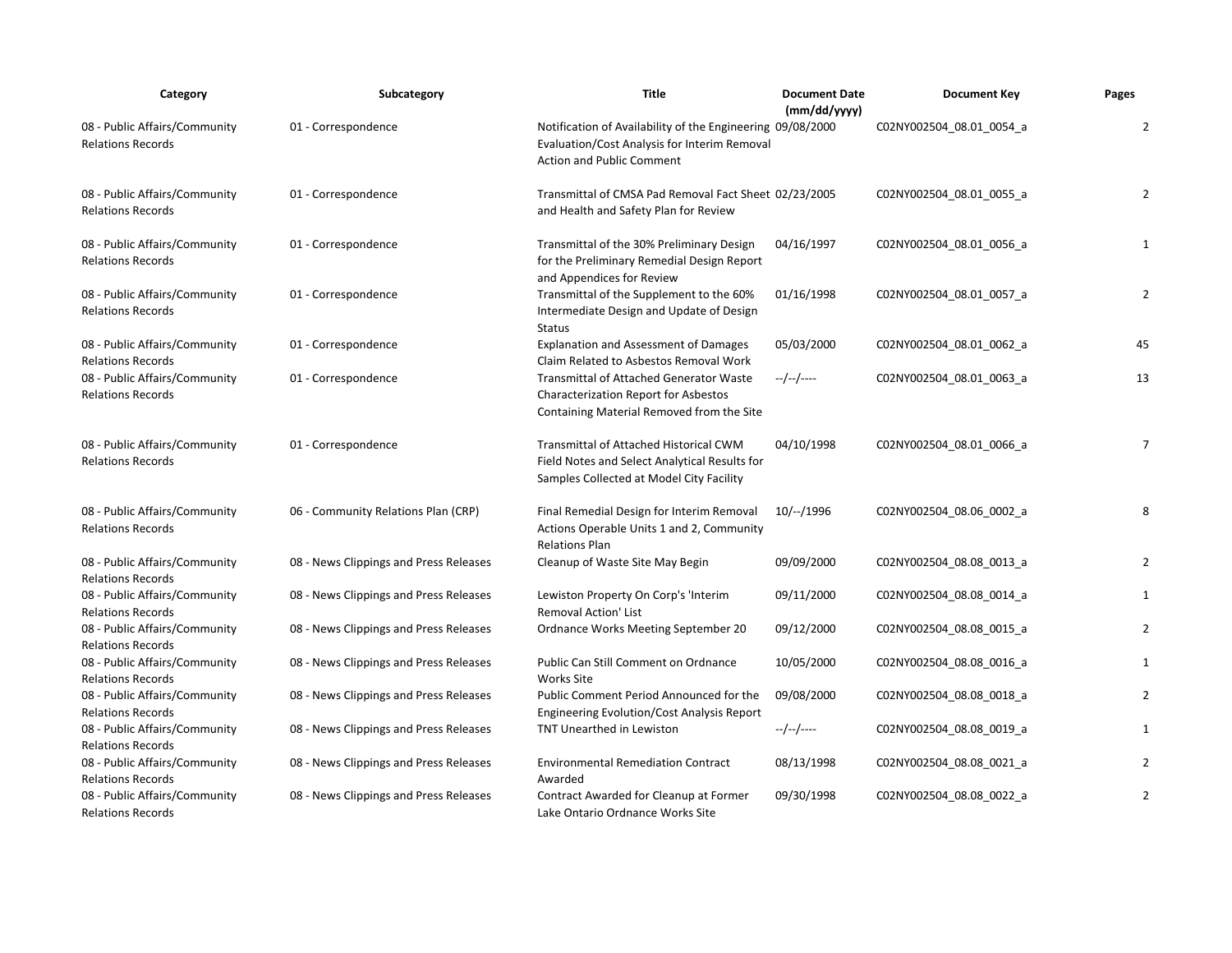| Category                                                  | Subcategory                            | Title                                                                                                                                          | <b>Document Date</b><br>(mm/dd/yyyy) | <b>Document Key</b>      | Pages          |
|-----------------------------------------------------------|----------------------------------------|------------------------------------------------------------------------------------------------------------------------------------------------|--------------------------------------|--------------------------|----------------|
| 08 - Public Affairs/Community<br><b>Relations Records</b> | 01 - Correspondence                    | Notification of Availability of the Engineering 09/08/2000<br>Evaluation/Cost Analysis for Interim Removal<br><b>Action and Public Comment</b> |                                      | C02NY002504_08.01_0054_a | $\overline{2}$ |
| 08 - Public Affairs/Community<br><b>Relations Records</b> | 01 - Correspondence                    | Transmittal of CMSA Pad Removal Fact Sheet 02/23/2005<br>and Health and Safety Plan for Review                                                 |                                      | C02NY002504_08.01_0055_a | 2              |
| 08 - Public Affairs/Community<br><b>Relations Records</b> | 01 - Correspondence                    | Transmittal of the 30% Preliminary Design<br>for the Preliminary Remedial Design Report<br>and Appendices for Review                           | 04/16/1997                           | C02NY002504_08.01_0056_a | 1              |
| 08 - Public Affairs/Community<br><b>Relations Records</b> | 01 - Correspondence                    | Transmittal of the Supplement to the 60%<br>Intermediate Design and Update of Design<br><b>Status</b>                                          | 01/16/1998                           | C02NY002504_08.01_0057_a | $\overline{2}$ |
| 08 - Public Affairs/Community<br><b>Relations Records</b> | 01 - Correspondence                    | <b>Explanation and Assessment of Damages</b><br>Claim Related to Asbestos Removal Work                                                         | 05/03/2000                           | C02NY002504_08.01_0062_a | 45             |
| 08 - Public Affairs/Community<br><b>Relations Records</b> | 01 - Correspondence                    | <b>Transmittal of Attached Generator Waste</b><br><b>Characterization Report for Asbestos</b><br>Containing Material Removed from the Site     | --/--/----                           | C02NY002504_08.01_0063_a | 13             |
| 08 - Public Affairs/Community<br><b>Relations Records</b> | 01 - Correspondence                    | Transmittal of Attached Historical CWM<br>Field Notes and Select Analytical Results for<br>Samples Collected at Model City Facility            | 04/10/1998                           | C02NY002504 08.01 0066 a | $\overline{7}$ |
| 08 - Public Affairs/Community<br><b>Relations Records</b> | 06 - Community Relations Plan (CRP)    | Final Remedial Design for Interim Removal<br>Actions Operable Units 1 and 2, Community<br><b>Relations Plan</b>                                | 10/--/1996                           | C02NY002504_08.06_0002_a | 8              |
| 08 - Public Affairs/Community<br><b>Relations Records</b> | 08 - News Clippings and Press Releases | Cleanup of Waste Site May Begin                                                                                                                | 09/09/2000                           | C02NY002504_08.08_0013_a | 2              |
| 08 - Public Affairs/Community<br><b>Relations Records</b> | 08 - News Clippings and Press Releases | Lewiston Property On Corp's 'Interim<br><b>Removal Action' List</b>                                                                            | 09/11/2000                           | C02NY002504_08.08_0014_a | $\mathbf{1}$   |
| 08 - Public Affairs/Community<br><b>Relations Records</b> | 08 - News Clippings and Press Releases | Ordnance Works Meeting September 20                                                                                                            | 09/12/2000                           | C02NY002504_08.08_0015_a | $\overline{2}$ |
| 08 - Public Affairs/Community<br><b>Relations Records</b> | 08 - News Clippings and Press Releases | Public Can Still Comment on Ordnance<br><b>Works Site</b>                                                                                      | 10/05/2000                           | C02NY002504_08.08_0016_a | $\mathbf{1}$   |
| 08 - Public Affairs/Community<br><b>Relations Records</b> | 08 - News Clippings and Press Releases | Public Comment Period Announced for the<br>Engineering Evolution/Cost Analysis Report                                                          | 09/08/2000                           | C02NY002504_08.08_0018_a | 2              |
| 08 - Public Affairs/Community<br><b>Relations Records</b> | 08 - News Clippings and Press Releases | <b>TNT Unearthed in Lewiston</b>                                                                                                               | --/--/----                           | C02NY002504_08.08_0019_a | 1              |
| 08 - Public Affairs/Community<br><b>Relations Records</b> | 08 - News Clippings and Press Releases | <b>Environmental Remediation Contract</b><br>Awarded                                                                                           | 08/13/1998                           | C02NY002504_08.08_0021_a | 2              |
| 08 - Public Affairs/Community<br><b>Relations Records</b> | 08 - News Clippings and Press Releases | Contract Awarded for Cleanup at Former<br>Lake Ontario Ordnance Works Site                                                                     | 09/30/1998                           | C02NY002504 08.08 0022 a | $\overline{2}$ |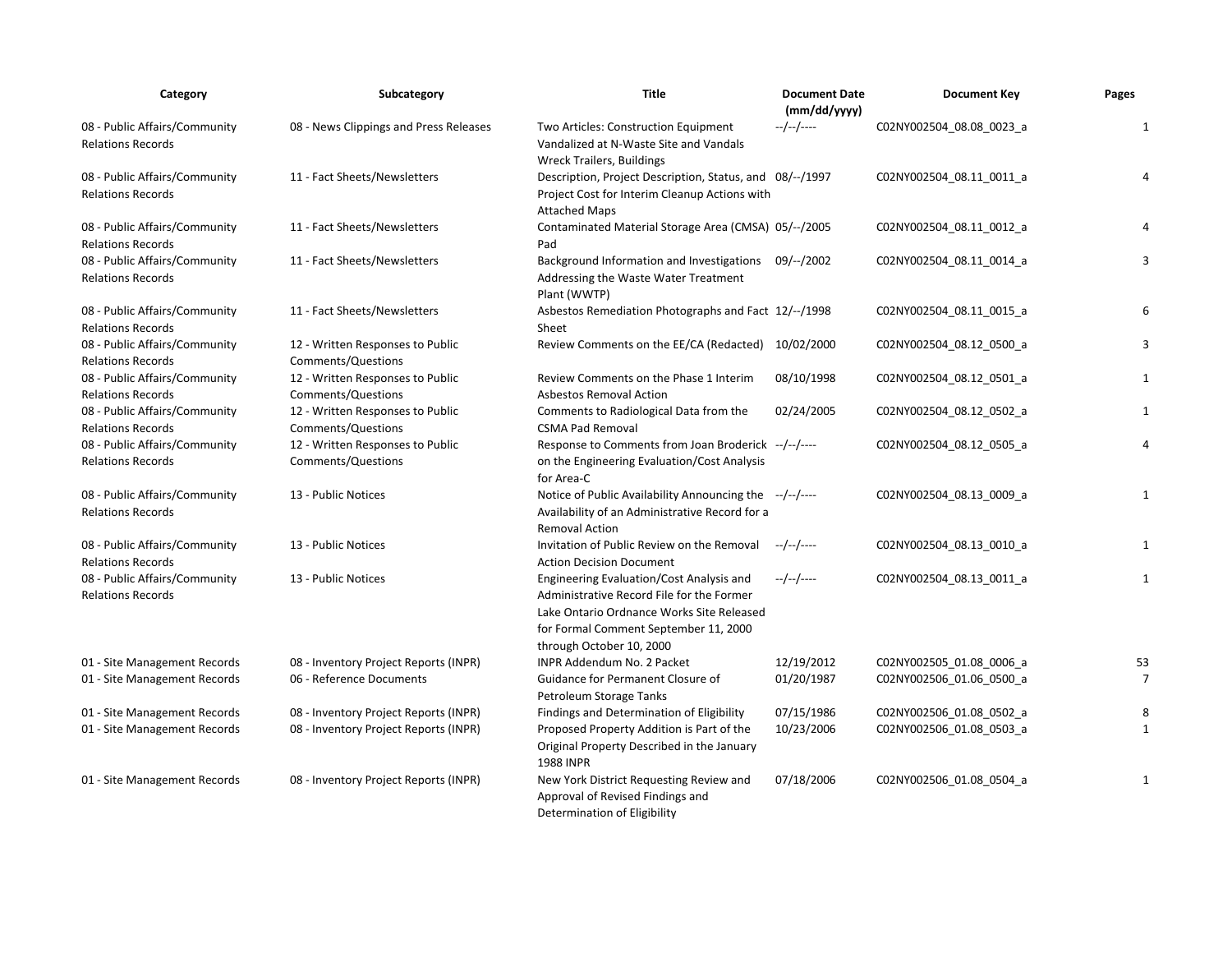| Category                                                  | Subcategory                                            | <b>Title</b>                                                                                                                                                                                            | <b>Document Date</b><br>(mm/dd/yyyy) | <b>Document Key</b>      | Pages          |
|-----------------------------------------------------------|--------------------------------------------------------|---------------------------------------------------------------------------------------------------------------------------------------------------------------------------------------------------------|--------------------------------------|--------------------------|----------------|
| 08 - Public Affairs/Community<br><b>Relations Records</b> | 08 - News Clippings and Press Releases                 | Two Articles: Construction Equipment<br>Vandalized at N-Waste Site and Vandals<br><b>Wreck Trailers, Buildings</b>                                                                                      | --/--/----                           | C02NY002504_08.08_0023_a | $\mathbf{1}$   |
| 08 - Public Affairs/Community<br><b>Relations Records</b> | 11 - Fact Sheets/Newsletters                           | Description, Project Description, Status, and 08/--/1997<br>Project Cost for Interim Cleanup Actions with<br><b>Attached Maps</b>                                                                       |                                      | C02NY002504_08.11_0011_a | 4              |
| 08 - Public Affairs/Community<br><b>Relations Records</b> | 11 - Fact Sheets/Newsletters                           | Contaminated Material Storage Area (CMSA) 05/--/2005<br>Pad                                                                                                                                             |                                      | C02NY002504 08.11 0012 a | $\overline{4}$ |
| 08 - Public Affairs/Community<br><b>Relations Records</b> | 11 - Fact Sheets/Newsletters                           | Background Information and Investigations 09/--/2002<br>Addressing the Waste Water Treatment<br>Plant (WWTP)                                                                                            |                                      | C02NY002504 08.11 0014 a | 3              |
| 08 - Public Affairs/Community<br><b>Relations Records</b> | 11 - Fact Sheets/Newsletters                           | Asbestos Remediation Photographs and Fact 12/--/1998<br>Sheet                                                                                                                                           |                                      | C02NY002504_08.11_0015_a | 6              |
| 08 - Public Affairs/Community<br><b>Relations Records</b> | 12 - Written Responses to Public<br>Comments/Questions | Review Comments on the EE/CA (Redacted) 10/02/2000                                                                                                                                                      |                                      | C02NY002504 08.12 0500 a | 3              |
| 08 - Public Affairs/Community<br><b>Relations Records</b> | 12 - Written Responses to Public<br>Comments/Questions | Review Comments on the Phase 1 Interim<br><b>Asbestos Removal Action</b>                                                                                                                                | 08/10/1998                           | C02NY002504_08.12_0501_a | 1              |
| 08 - Public Affairs/Community<br><b>Relations Records</b> | 12 - Written Responses to Public<br>Comments/Questions | Comments to Radiological Data from the<br><b>CSMA Pad Removal</b>                                                                                                                                       | 02/24/2005                           | C02NY002504_08.12_0502_a | 1              |
| 08 - Public Affairs/Community<br><b>Relations Records</b> | 12 - Written Responses to Public<br>Comments/Questions | Response to Comments from Joan Broderick --/--/----<br>on the Engineering Evaluation/Cost Analysis<br>for Area-C                                                                                        |                                      | C02NY002504 08.12 0505 a | $\overline{4}$ |
| 08 - Public Affairs/Community<br><b>Relations Records</b> | 13 - Public Notices                                    | Notice of Public Availability Announcing the --/--/----<br>Availability of an Administrative Record for a<br><b>Removal Action</b>                                                                      |                                      | C02NY002504_08.13_0009_a | 1              |
| 08 - Public Affairs/Community<br><b>Relations Records</b> | 13 - Public Notices                                    | Invitation of Public Review on the Removal<br><b>Action Decision Document</b>                                                                                                                           | --/--/----                           | C02NY002504_08.13_0010_a | 1              |
| 08 - Public Affairs/Community<br><b>Relations Records</b> | 13 - Public Notices                                    | Engineering Evaluation/Cost Analysis and<br>Administrative Record File for the Former<br>Lake Ontario Ordnance Works Site Released<br>for Formal Comment September 11, 2000<br>through October 10, 2000 | --/--/----                           | C02NY002504_08.13_0011_a | $\mathbf{1}$   |
| 01 - Site Management Records                              | 08 - Inventory Project Reports (INPR)                  | <b>INPR Addendum No. 2 Packet</b>                                                                                                                                                                       | 12/19/2012                           | C02NY002505 01.08 0006 a | 53             |
| 01 - Site Management Records                              | 06 - Reference Documents                               | Guidance for Permanent Closure of<br>Petroleum Storage Tanks                                                                                                                                            | 01/20/1987                           | C02NY002506_01.06_0500_a | $\overline{7}$ |
| 01 - Site Management Records                              | 08 - Inventory Project Reports (INPR)                  | Findings and Determination of Eligibility                                                                                                                                                               | 07/15/1986                           | C02NY002506_01.08_0502_a | 8              |
| 01 - Site Management Records                              | 08 - Inventory Project Reports (INPR)                  | Proposed Property Addition is Part of the<br>Original Property Described in the January<br><b>1988 INPR</b>                                                                                             | 10/23/2006                           | C02NY002506 01.08 0503 a | $\mathbf{1}$   |
| 01 - Site Management Records                              | 08 - Inventory Project Reports (INPR)                  | New York District Requesting Review and<br>Approval of Revised Findings and<br>Determination of Eligibility                                                                                             | 07/18/2006                           | C02NY002506_01.08_0504_a | 1              |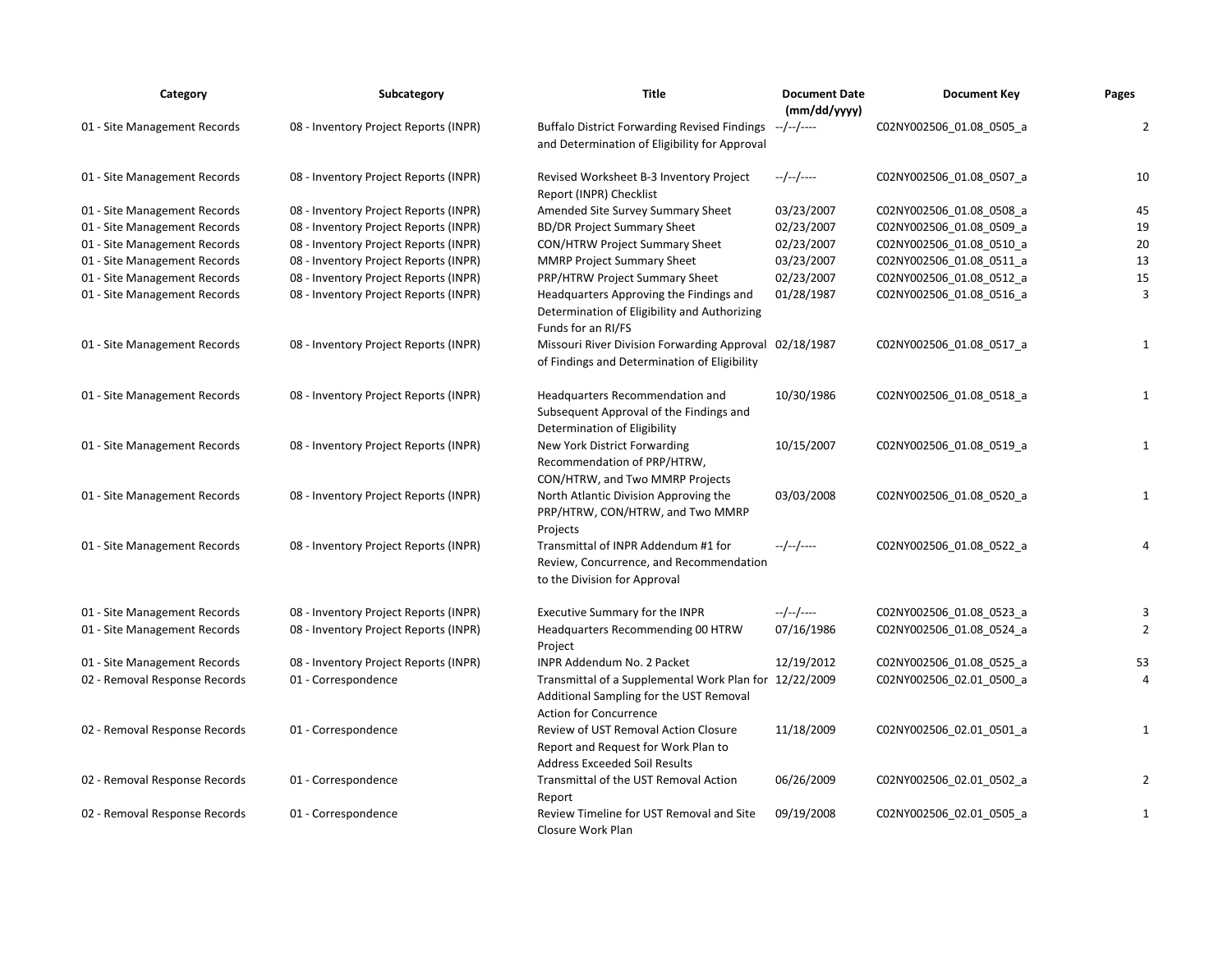| Category                      | Subcategory                           | <b>Title</b>                                                                                                                | <b>Document Date</b><br>(mm/dd/yyyy) | <b>Document Key</b>      | Pages          |
|-------------------------------|---------------------------------------|-----------------------------------------------------------------------------------------------------------------------------|--------------------------------------|--------------------------|----------------|
| 01 - Site Management Records  | 08 - Inventory Project Reports (INPR) | <b>Buffalo District Forwarding Revised Findings</b><br>and Determination of Eligibility for Approval                        | --/--/----                           | C02NY002506_01.08_0505_a | $\overline{2}$ |
| 01 - Site Management Records  | 08 - Inventory Project Reports (INPR) | Revised Worksheet B-3 Inventory Project<br>Report (INPR) Checklist                                                          | --/--/----                           | C02NY002506_01.08_0507_a | 10             |
| 01 - Site Management Records  | 08 - Inventory Project Reports (INPR) | Amended Site Survey Summary Sheet                                                                                           | 03/23/2007                           | C02NY002506_01.08_0508_a | 45             |
| 01 - Site Management Records  | 08 - Inventory Project Reports (INPR) | <b>BD/DR Project Summary Sheet</b>                                                                                          | 02/23/2007                           | C02NY002506_01.08_0509_a | 19             |
| 01 - Site Management Records  | 08 - Inventory Project Reports (INPR) | CON/HTRW Project Summary Sheet                                                                                              | 02/23/2007                           | C02NY002506 01.08 0510 a | 20             |
| 01 - Site Management Records  | 08 - Inventory Project Reports (INPR) | <b>MMRP Project Summary Sheet</b>                                                                                           | 03/23/2007                           | C02NY002506 01.08 0511 a | 13             |
| 01 - Site Management Records  | 08 - Inventory Project Reports (INPR) | PRP/HTRW Project Summary Sheet                                                                                              | 02/23/2007                           | C02NY002506_01.08_0512_a | 15             |
| 01 - Site Management Records  | 08 - Inventory Project Reports (INPR) | Headquarters Approving the Findings and<br>Determination of Eligibility and Authorizing<br>Funds for an RI/FS               | 01/28/1987                           | C02NY002506_01.08_0516_a | $\overline{3}$ |
| 01 - Site Management Records  | 08 - Inventory Project Reports (INPR) | Missouri River Division Forwarding Approval 02/18/1987<br>of Findings and Determination of Eligibility                      |                                      | C02NY002506_01.08_0517_a | $\mathbf{1}$   |
| 01 - Site Management Records  | 08 - Inventory Project Reports (INPR) | Headquarters Recommendation and<br>Subsequent Approval of the Findings and<br>Determination of Eligibility                  | 10/30/1986                           | C02NY002506_01.08_0518_a | $\mathbf{1}$   |
| 01 - Site Management Records  | 08 - Inventory Project Reports (INPR) | New York District Forwarding<br>Recommendation of PRP/HTRW,<br>CON/HTRW, and Two MMRP Projects                              | 10/15/2007                           | C02NY002506_01.08_0519_a | $\mathbf{1}$   |
| 01 - Site Management Records  | 08 - Inventory Project Reports (INPR) | North Atlantic Division Approving the<br>PRP/HTRW, CON/HTRW, and Two MMRP<br>Projects                                       | 03/03/2008                           | C02NY002506_01.08_0520_a | $\mathbf{1}$   |
| 01 - Site Management Records  | 08 - Inventory Project Reports (INPR) | Transmittal of INPR Addendum #1 for<br>Review, Concurrence, and Recommendation<br>to the Division for Approval              | $-/-/-/---$                          | C02NY002506_01.08_0522_a | $\overline{4}$ |
| 01 - Site Management Records  | 08 - Inventory Project Reports (INPR) | Executive Summary for the INPR                                                                                              | --/--/----                           | C02NY002506_01.08_0523_a | 3              |
| 01 - Site Management Records  | 08 - Inventory Project Reports (INPR) | Headquarters Recommending 00 HTRW<br>Project                                                                                | 07/16/1986                           | C02NY002506_01.08_0524_a | $\overline{2}$ |
| 01 - Site Management Records  | 08 - Inventory Project Reports (INPR) | INPR Addendum No. 2 Packet                                                                                                  | 12/19/2012                           | C02NY002506_01.08_0525_a | 53             |
| 02 - Removal Response Records | 01 - Correspondence                   | Transmittal of a Supplemental Work Plan for 12/22/2009<br>Additional Sampling for the UST Removal<br>Action for Concurrence |                                      | C02NY002506_02.01_0500_a | $\overline{4}$ |
| 02 - Removal Response Records | 01 - Correspondence                   | Review of UST Removal Action Closure<br>Report and Request for Work Plan to<br><b>Address Exceeded Soil Results</b>         | 11/18/2009                           | C02NY002506_02.01_0501_a | 1              |
| 02 - Removal Response Records | 01 - Correspondence                   | Transmittal of the UST Removal Action<br>Report                                                                             | 06/26/2009                           | C02NY002506_02.01_0502_a | 2              |
| 02 - Removal Response Records | 01 - Correspondence                   | Review Timeline for UST Removal and Site<br>Closure Work Plan                                                               | 09/19/2008                           | C02NY002506 02.01 0505 a | $\mathbf{1}$   |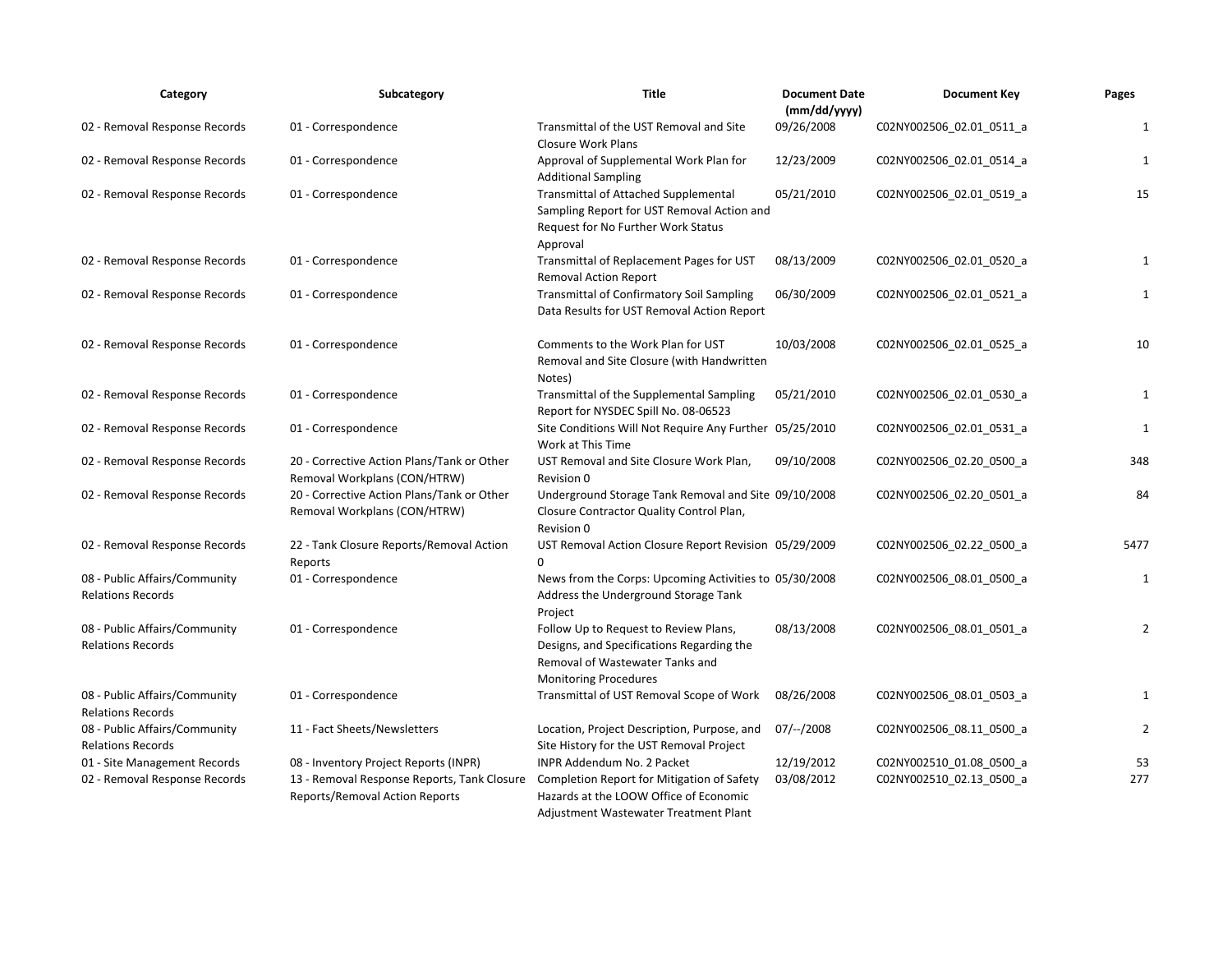| Category                                                  | Subcategory                                                                   | <b>Title</b>                                                                                                                                          | <b>Document Date</b><br>(mm/dd/yyy) | <b>Document Key</b>      | Pages          |
|-----------------------------------------------------------|-------------------------------------------------------------------------------|-------------------------------------------------------------------------------------------------------------------------------------------------------|-------------------------------------|--------------------------|----------------|
| 02 - Removal Response Records                             | 01 - Correspondence                                                           | Transmittal of the UST Removal and Site<br><b>Closure Work Plans</b>                                                                                  | 09/26/2008                          | C02NY002506_02.01_0511_a | $\mathbf{1}$   |
| 02 - Removal Response Records                             | 01 - Correspondence                                                           | Approval of Supplemental Work Plan for<br><b>Additional Sampling</b>                                                                                  | 12/23/2009                          | C02NY002506_02.01_0514_a | $\mathbf{1}$   |
| 02 - Removal Response Records                             | 01 - Correspondence                                                           | <b>Transmittal of Attached Supplemental</b><br>Sampling Report for UST Removal Action and<br>Request for No Further Work Status<br>Approval           | 05/21/2010                          | C02NY002506_02.01_0519_a | 15             |
| 02 - Removal Response Records                             | 01 - Correspondence                                                           | Transmittal of Replacement Pages for UST<br><b>Removal Action Report</b>                                                                              | 08/13/2009                          | C02NY002506 02.01 0520 a | 1              |
| 02 - Removal Response Records                             | 01 - Correspondence                                                           | <b>Transmittal of Confirmatory Soil Sampling</b><br>Data Results for UST Removal Action Report                                                        | 06/30/2009                          | C02NY002506 02.01 0521 a | $\mathbf{1}$   |
| 02 - Removal Response Records                             | 01 - Correspondence                                                           | Comments to the Work Plan for UST<br>Removal and Site Closure (with Handwritten<br>Notes)                                                             | 10/03/2008                          | C02NY002506_02.01_0525_a | 10             |
| 02 - Removal Response Records                             | 01 - Correspondence                                                           | Transmittal of the Supplemental Sampling<br>Report for NYSDEC Spill No. 08-06523                                                                      | 05/21/2010                          | C02NY002506_02.01_0530_a | $\mathbf{1}$   |
| 02 - Removal Response Records                             | 01 - Correspondence                                                           | Site Conditions Will Not Require Any Further 05/25/2010<br>Work at This Time                                                                          |                                     | C02NY002506_02.01_0531_a | $\mathbf{1}$   |
| 02 - Removal Response Records                             | 20 - Corrective Action Plans/Tank or Other<br>Removal Workplans (CON/HTRW)    | UST Removal and Site Closure Work Plan,<br>Revision 0                                                                                                 | 09/10/2008                          | C02NY002506_02.20_0500_a | 348            |
| 02 - Removal Response Records                             | 20 - Corrective Action Plans/Tank or Other<br>Removal Workplans (CON/HTRW)    | Underground Storage Tank Removal and Site 09/10/2008<br>Closure Contractor Quality Control Plan,<br>Revision 0                                        |                                     | C02NY002506_02.20_0501_a | 84             |
| 02 - Removal Response Records                             | 22 - Tank Closure Reports/Removal Action<br>Reports                           | UST Removal Action Closure Report Revision 05/29/2009<br>$\Omega$                                                                                     |                                     | C02NY002506_02.22_0500_a | 5477           |
| 08 - Public Affairs/Community<br><b>Relations Records</b> | 01 - Correspondence                                                           | News from the Corps: Upcoming Activities to 05/30/2008<br>Address the Underground Storage Tank<br>Project                                             |                                     | C02NY002506_08.01_0500_a | $\mathbf{1}$   |
| 08 - Public Affairs/Community<br><b>Relations Records</b> | 01 - Correspondence                                                           | Follow Up to Request to Review Plans,<br>Designs, and Specifications Regarding the<br>Removal of Wastewater Tanks and<br><b>Monitoring Procedures</b> | 08/13/2008                          | CO2NY002506 08.01 0501 a | $\overline{2}$ |
| 08 - Public Affairs/Community<br><b>Relations Records</b> | 01 - Correspondence                                                           | Transmittal of UST Removal Scope of Work                                                                                                              | 08/26/2008                          | C02NY002506_08.01_0503_a | 1              |
| 08 - Public Affairs/Community<br><b>Relations Records</b> | 11 - Fact Sheets/Newsletters                                                  | Location, Project Description, Purpose, and<br>Site History for the UST Removal Project                                                               | $07$ / $-$ /2008                    | C02NY002506 08.11 0500 a | $\overline{2}$ |
| 01 - Site Management Records                              | 08 - Inventory Project Reports (INPR)                                         | INPR Addendum No. 2 Packet                                                                                                                            | 12/19/2012                          | C02NY002510 01.08 0500 a | 53             |
| 02 - Removal Response Records                             | 13 - Removal Response Reports, Tank Closure<br>Reports/Removal Action Reports | Completion Report for Mitigation of Safety<br>Hazards at the LOOW Office of Economic<br>Adjustment Wastewater Treatment Plant                         | 03/08/2012                          | C02NY002510_02.13_0500_a | 277            |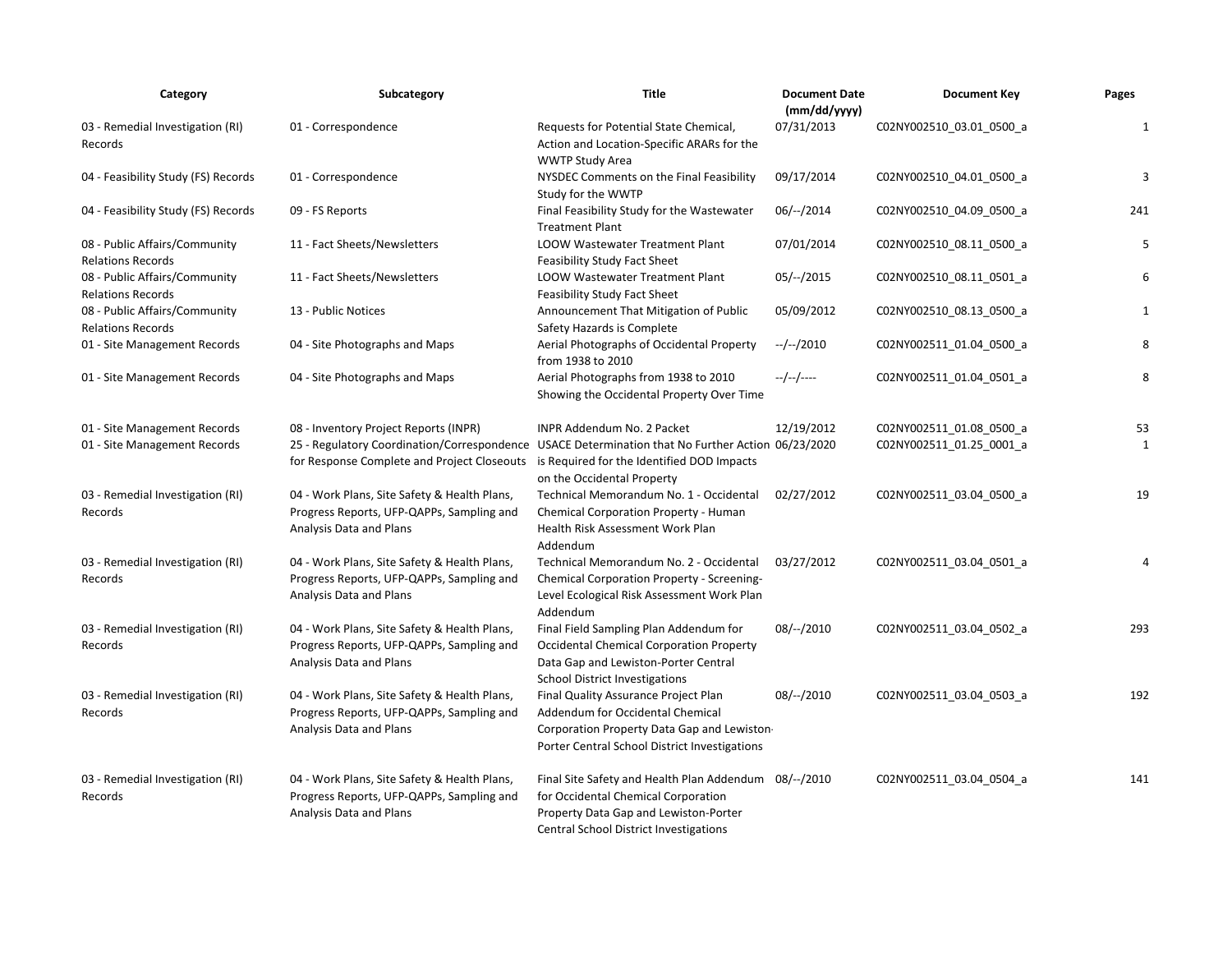| Category                                                  | Subcategory                                                                                                                                      | <b>Title</b>                                                                                                                                                                           | <b>Document Date</b><br>(mm/dd/yyyy) | <b>Document Key</b>      | Pages        |
|-----------------------------------------------------------|--------------------------------------------------------------------------------------------------------------------------------------------------|----------------------------------------------------------------------------------------------------------------------------------------------------------------------------------------|--------------------------------------|--------------------------|--------------|
| 03 - Remedial Investigation (RI)<br>Records               | 01 - Correspondence                                                                                                                              | Requests for Potential State Chemical,<br>Action and Location-Specific ARARs for the<br><b>WWTP Study Area</b>                                                                         | 07/31/2013                           | C02NY002510 03.01 0500 a | 1            |
| 04 - Feasibility Study (FS) Records                       | 01 - Correspondence                                                                                                                              | NYSDEC Comments on the Final Feasibility<br>Study for the WWTP                                                                                                                         | 09/17/2014                           | C02NY002510_04.01_0500_a | 3            |
| 04 - Feasibility Study (FS) Records                       | 09 - FS Reports                                                                                                                                  | Final Feasibility Study for the Wastewater<br><b>Treatment Plant</b>                                                                                                                   | $06/-/2014$                          | C02NY002510_04.09_0500_a | 241          |
| 08 - Public Affairs/Community<br><b>Relations Records</b> | 11 - Fact Sheets/Newsletters                                                                                                                     | LOOW Wastewater Treatment Plant<br>Feasibility Study Fact Sheet                                                                                                                        | 07/01/2014                           | C02NY002510_08.11_0500_a | 5            |
| 08 - Public Affairs/Community<br><b>Relations Records</b> | 11 - Fact Sheets/Newsletters                                                                                                                     | LOOW Wastewater Treatment Plant<br><b>Feasibility Study Fact Sheet</b>                                                                                                                 | $05/-/2015$                          | C02NY002510_08.11_0501_a | 6            |
| 08 - Public Affairs/Community<br><b>Relations Records</b> | 13 - Public Notices                                                                                                                              | Announcement That Mitigation of Public<br>Safety Hazards is Complete                                                                                                                   | 05/09/2012                           | C02NY002510_08.13_0500_a | $\mathbf{1}$ |
| 01 - Site Management Records                              | 04 - Site Photographs and Maps                                                                                                                   | Aerial Photographs of Occidental Property<br>from 1938 to 2010                                                                                                                         | $-/-/2010$                           | C02NY002511_01.04_0500_a | 8            |
| 01 - Site Management Records                              | 04 - Site Photographs and Maps                                                                                                                   | Aerial Photographs from 1938 to 2010<br>Showing the Occidental Property Over Time                                                                                                      | --/--/----                           | C02NY002511_01.04_0501_a | 8            |
| 01 - Site Management Records                              | 08 - Inventory Project Reports (INPR)                                                                                                            | INPR Addendum No. 2 Packet                                                                                                                                                             | 12/19/2012                           | C02NY002511_01.08_0500_a | 53           |
| 01 - Site Management Records                              | 25 - Regulatory Coordination/Correspondence USACE Determination that No Further Action 06/23/2020<br>for Response Complete and Project Closeouts | is Required for the Identified DOD Impacts<br>on the Occidental Property                                                                                                               |                                      | C02NY002511_01.25_0001_a | 1            |
| 03 - Remedial Investigation (RI)<br>Records               | 04 - Work Plans, Site Safety & Health Plans,<br>Progress Reports, UFP-QAPPs, Sampling and<br>Analysis Data and Plans                             | Technical Memorandum No. 1 - Occidental<br>Chemical Corporation Property - Human<br>Health Risk Assessment Work Plan<br>Addendum                                                       | 02/27/2012                           | C02NY002511_03.04_0500_a | 19           |
| 03 - Remedial Investigation (RI)<br>Records               | 04 - Work Plans, Site Safety & Health Plans,<br>Progress Reports, UFP-QAPPs, Sampling and<br>Analysis Data and Plans                             | Technical Memorandum No. 2 - Occidental<br>Chemical Corporation Property - Screening-<br>Level Ecological Risk Assessment Work Plan<br>Addendum                                        | 03/27/2012                           | C02NY002511_03.04_0501_a | 4            |
| 03 - Remedial Investigation (RI)<br>Records               | 04 - Work Plans, Site Safety & Health Plans,<br>Progress Reports, UFP-QAPPs, Sampling and<br>Analysis Data and Plans                             | Final Field Sampling Plan Addendum for<br><b>Occidental Chemical Corporation Property</b><br>Data Gap and Lewiston-Porter Central<br><b>School District Investigations</b>             | $08/-/2010$                          | C02NY002511_03.04_0502_a | 293          |
| 03 - Remedial Investigation (RI)<br>Records               | 04 - Work Plans, Site Safety & Health Plans,<br>Progress Reports, UFP-QAPPs, Sampling and<br>Analysis Data and Plans                             | Final Quality Assurance Project Plan<br>Addendum for Occidental Chemical<br>Corporation Property Data Gap and Lewiston<br>Porter Central School District Investigations                | $08/-/2010$                          | C02NY002511_03.04_0503_a | 192          |
| 03 - Remedial Investigation (RI)<br>Records               | 04 - Work Plans, Site Safety & Health Plans,<br>Progress Reports, UFP-QAPPs, Sampling and<br>Analysis Data and Plans                             | Final Site Safety and Health Plan Addendum 08/--/2010<br>for Occidental Chemical Corporation<br>Property Data Gap and Lewiston-Porter<br><b>Central School District Investigations</b> |                                      | C02NY002511 03.04 0504 a | 141          |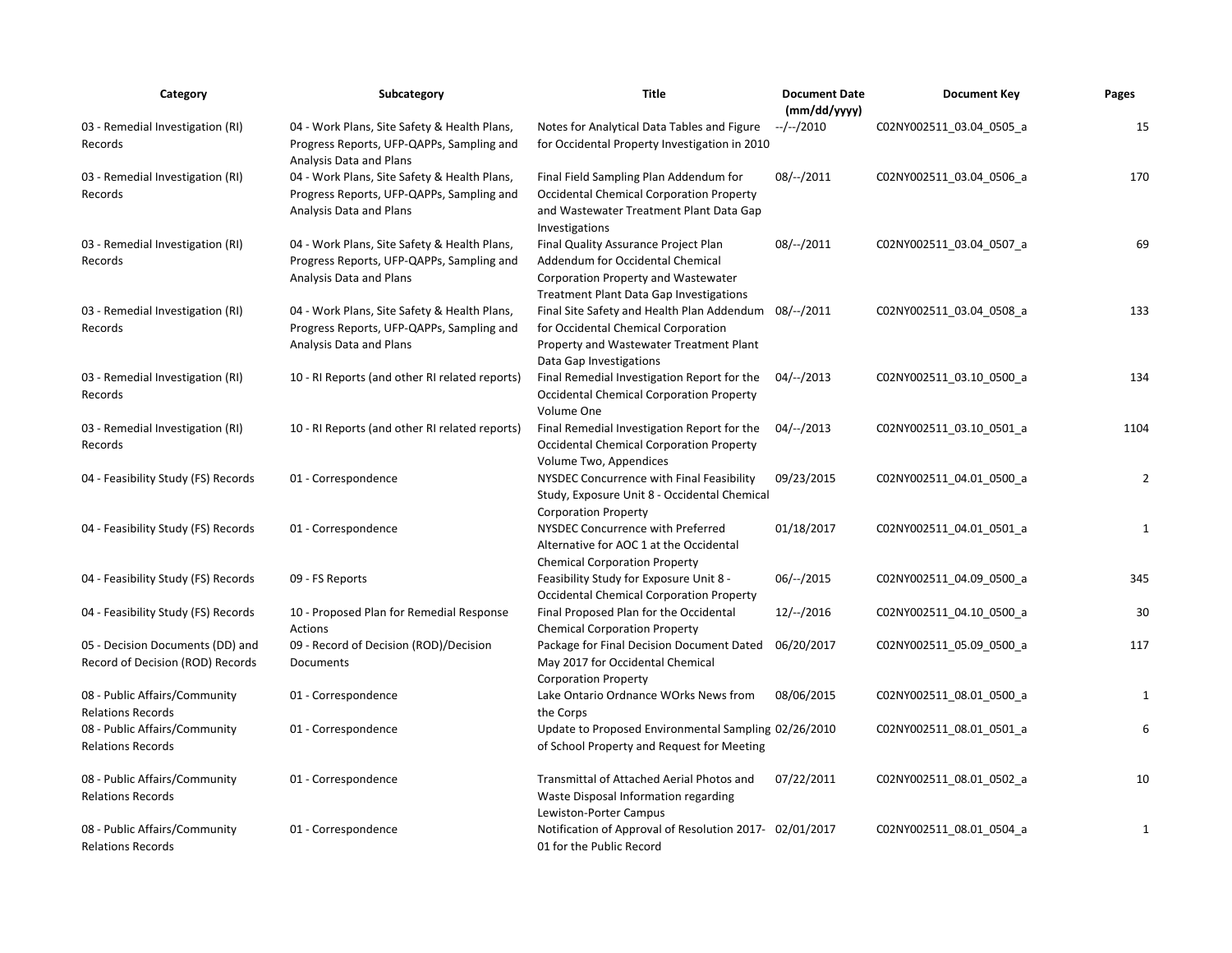| Category                                                             | Subcategory                                                                                                          | Title                                                                                                                                                              | <b>Document Date</b><br>(mm/dd/yyyy) | <b>Document Key</b>      | Pages          |
|----------------------------------------------------------------------|----------------------------------------------------------------------------------------------------------------------|--------------------------------------------------------------------------------------------------------------------------------------------------------------------|--------------------------------------|--------------------------|----------------|
| 03 - Remedial Investigation (RI)<br>Records                          | 04 - Work Plans, Site Safety & Health Plans,<br>Progress Reports, UFP-QAPPs, Sampling and<br>Analysis Data and Plans | Notes for Analytical Data Tables and Figure<br>for Occidental Property Investigation in 2010                                                                       | $-/-/2010$                           | C02NY002511_03.04_0505_a | 15             |
| 03 - Remedial Investigation (RI)<br>Records                          | 04 - Work Plans, Site Safety & Health Plans,<br>Progress Reports, UFP-QAPPs, Sampling and<br>Analysis Data and Plans | Final Field Sampling Plan Addendum for<br><b>Occidental Chemical Corporation Property</b><br>and Wastewater Treatment Plant Data Gap<br>Investigations             | $08/-/2011$                          | C02NY002511_03.04_0506_a | 170            |
| 03 - Remedial Investigation (RI)<br>Records                          | 04 - Work Plans, Site Safety & Health Plans,<br>Progress Reports, UFP-QAPPs, Sampling and<br>Analysis Data and Plans | Final Quality Assurance Project Plan<br>Addendum for Occidental Chemical<br>Corporation Property and Wastewater<br><b>Treatment Plant Data Gap Investigations</b>  | $08/-/2011$                          | C02NY002511_03.04_0507_a | 69             |
| 03 - Remedial Investigation (RI)<br>Records                          | 04 - Work Plans, Site Safety & Health Plans,<br>Progress Reports, UFP-QAPPs, Sampling and<br>Analysis Data and Plans | Final Site Safety and Health Plan Addendum 08/--/2011<br>for Occidental Chemical Corporation<br>Property and Wastewater Treatment Plant<br>Data Gap Investigations |                                      | C02NY002511_03.04_0508_a | 133            |
| 03 - Remedial Investigation (RI)<br>Records                          | 10 - RI Reports (and other RI related reports)                                                                       | Final Remedial Investigation Report for the<br><b>Occidental Chemical Corporation Property</b><br>Volume One                                                       | $04/-/2013$                          | C02NY002511_03.10_0500_a | 134            |
| 03 - Remedial Investigation (RI)<br>Records                          | 10 - RI Reports (and other RI related reports)                                                                       | Final Remedial Investigation Report for the<br><b>Occidental Chemical Corporation Property</b><br>Volume Two, Appendices                                           | 04/--/2013                           | C02NY002511_03.10_0501_a | 1104           |
| 04 - Feasibility Study (FS) Records                                  | 01 - Correspondence                                                                                                  | NYSDEC Concurrence with Final Feasibility<br>Study, Exposure Unit 8 - Occidental Chemical<br><b>Corporation Property</b>                                           | 09/23/2015                           | C02NY002511_04.01_0500_a | $\overline{2}$ |
| 04 - Feasibility Study (FS) Records                                  | 01 - Correspondence                                                                                                  | NYSDEC Concurrence with Preferred<br>Alternative for AOC 1 at the Occidental<br><b>Chemical Corporation Property</b>                                               | 01/18/2017                           | C02NY002511_04.01_0501_a | $\mathbf{1}$   |
| 04 - Feasibility Study (FS) Records                                  | 09 - FS Reports                                                                                                      | Feasibility Study for Exposure Unit 8 -<br><b>Occidental Chemical Corporation Property</b>                                                                         | $06/-/2015$                          | C02NY002511_04.09_0500_a | 345            |
| 04 - Feasibility Study (FS) Records                                  | 10 - Proposed Plan for Remedial Response<br>Actions                                                                  | Final Proposed Plan for the Occidental<br><b>Chemical Corporation Property</b>                                                                                     | $12/-/2016$                          | C02NY002511_04.10_0500_a | 30             |
| 05 - Decision Documents (DD) and<br>Record of Decision (ROD) Records | 09 - Record of Decision (ROD)/Decision<br>Documents                                                                  | Package for Final Decision Document Dated<br>May 2017 for Occidental Chemical<br><b>Corporation Property</b>                                                       | 06/20/2017                           | C02NY002511_05.09_0500_a | 117            |
| 08 - Public Affairs/Community<br><b>Relations Records</b>            | 01 - Correspondence                                                                                                  | Lake Ontario Ordnance WOrks News from<br>the Corps                                                                                                                 | 08/06/2015                           | C02NY002511_08.01_0500_a | $\mathbf{1}$   |
| 08 - Public Affairs/Community<br><b>Relations Records</b>            | 01 - Correspondence                                                                                                  | Update to Proposed Environmental Sampling 02/26/2010<br>of School Property and Request for Meeting                                                                 |                                      | CO2NY002511 08.01 0501 a | 6              |
| 08 - Public Affairs/Community<br><b>Relations Records</b>            | 01 - Correspondence                                                                                                  | Transmittal of Attached Aerial Photos and<br>Waste Disposal Information regarding<br>Lewiston-Porter Campus                                                        | 07/22/2011                           | C02NY002511 08.01 0502 a | 10             |
| 08 - Public Affairs/Community<br><b>Relations Records</b>            | 01 - Correspondence                                                                                                  | Notification of Approval of Resolution 2017- 02/01/2017<br>01 for the Public Record                                                                                |                                      | C02NY002511 08.01 0504 a | 1              |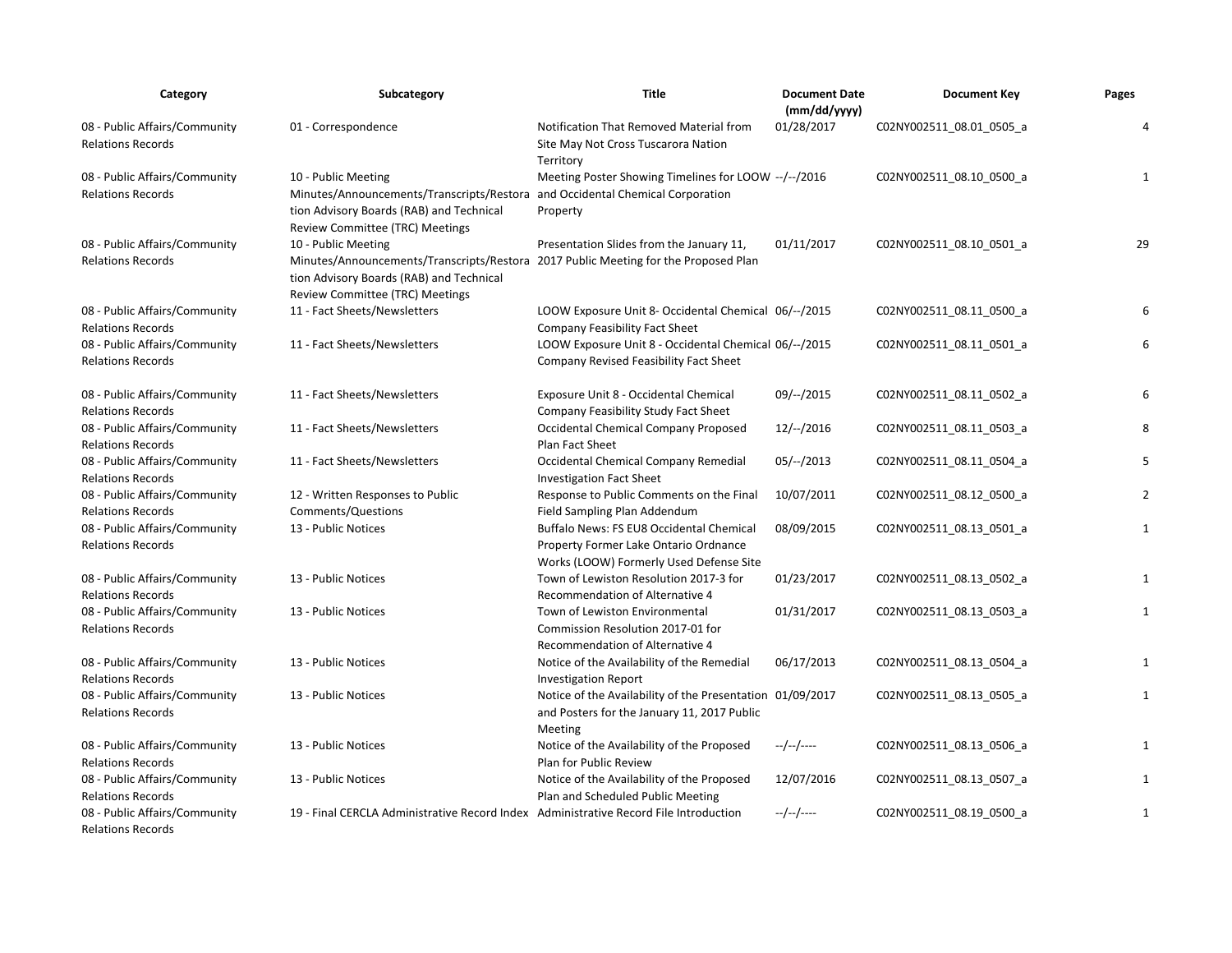| Category                                                  | Subcategory                                                                                                                                                                               | <b>Title</b>                                                                                                                 | <b>Document Date</b><br>(mm/dd/yyyy) | <b>Document Key</b>      | Pages        |
|-----------------------------------------------------------|-------------------------------------------------------------------------------------------------------------------------------------------------------------------------------------------|------------------------------------------------------------------------------------------------------------------------------|--------------------------------------|--------------------------|--------------|
| 08 - Public Affairs/Community<br><b>Relations Records</b> | 01 - Correspondence                                                                                                                                                                       | Notification That Removed Material from<br>Site May Not Cross Tuscarora Nation<br>Territory                                  | 01/28/2017                           | C02NY002511_08.01_0505_a | 4            |
| 08 - Public Affairs/Community<br><b>Relations Records</b> | 10 - Public Meeting<br>Minutes/Announcements/Transcripts/Restora and Occidental Chemical Corporation<br>tion Advisory Boards (RAB) and Technical<br>Review Committee (TRC) Meetings       | Meeting Poster Showing Timelines for LOOW --/--/2016<br>Property                                                             |                                      | C02NY002511_08.10_0500_a | $\mathbf{1}$ |
| 08 - Public Affairs/Community<br><b>Relations Records</b> | 10 - Public Meeting<br>Minutes/Announcements/Transcripts/Restora 2017 Public Meeting for the Proposed Plan<br>tion Advisory Boards (RAB) and Technical<br>Review Committee (TRC) Meetings | Presentation Slides from the January 11,                                                                                     | 01/11/2017                           | C02NY002511_08.10_0501_a | 29           |
| 08 - Public Affairs/Community<br><b>Relations Records</b> | 11 - Fact Sheets/Newsletters                                                                                                                                                              | LOOW Exposure Unit 8- Occidental Chemical 06/--/2015<br>Company Feasibility Fact Sheet                                       |                                      | C02NY002511 08.11 0500 a | 6            |
| 08 - Public Affairs/Community<br><b>Relations Records</b> | 11 - Fact Sheets/Newsletters                                                                                                                                                              | LOOW Exposure Unit 8 - Occidental Chemical 06/--/2015<br>Company Revised Feasibility Fact Sheet                              |                                      | C02NY002511_08.11_0501_a | 6            |
| 08 - Public Affairs/Community<br><b>Relations Records</b> | 11 - Fact Sheets/Newsletters                                                                                                                                                              | Exposure Unit 8 - Occidental Chemical<br>Company Feasibility Study Fact Sheet                                                | $09/-/2015$                          | C02NY002511_08.11_0502_a | 6            |
| 08 - Public Affairs/Community<br><b>Relations Records</b> | 11 - Fact Sheets/Newsletters                                                                                                                                                              | Occidental Chemical Company Proposed<br>Plan Fact Sheet                                                                      | $12/-/2016$                          | C02NY002511_08.11_0503_a | 8            |
| 08 - Public Affairs/Community<br><b>Relations Records</b> | 11 - Fact Sheets/Newsletters                                                                                                                                                              | Occidental Chemical Company Remedial<br><b>Investigation Fact Sheet</b>                                                      | $05/-/2013$                          | C02NY002511 08.11 0504 a | 5            |
| 08 - Public Affairs/Community<br><b>Relations Records</b> | 12 - Written Responses to Public<br>Comments/Questions                                                                                                                                    | Response to Public Comments on the Final<br>Field Sampling Plan Addendum                                                     | 10/07/2011                           | C02NY002511_08.12_0500_a | 2            |
| 08 - Public Affairs/Community<br><b>Relations Records</b> | 13 - Public Notices                                                                                                                                                                       | Buffalo News: FS EU8 Occidental Chemical<br>Property Former Lake Ontario Ordnance<br>Works (LOOW) Formerly Used Defense Site | 08/09/2015                           | C02NY002511 08.13 0501 a | $\mathbf{1}$ |
| 08 - Public Affairs/Community<br><b>Relations Records</b> | 13 - Public Notices                                                                                                                                                                       | Town of Lewiston Resolution 2017-3 for<br>Recommendation of Alternative 4                                                    | 01/23/2017                           | C02NY002511_08.13_0502_a | 1            |
| 08 - Public Affairs/Community<br><b>Relations Records</b> | 13 - Public Notices                                                                                                                                                                       | Town of Lewiston Environmental<br>Commission Resolution 2017-01 for<br>Recommendation of Alternative 4                       | 01/31/2017                           | C02NY002511_08.13_0503_a | $\mathbf{1}$ |
| 08 - Public Affairs/Community<br><b>Relations Records</b> | 13 - Public Notices                                                                                                                                                                       | Notice of the Availability of the Remedial<br><b>Investigation Report</b>                                                    | 06/17/2013                           | C02NY002511_08.13_0504_a | $\mathbf{1}$ |
| 08 - Public Affairs/Community<br><b>Relations Records</b> | 13 - Public Notices                                                                                                                                                                       | Notice of the Availability of the Presentation 01/09/2017<br>and Posters for the January 11, 2017 Public<br>Meeting          |                                      | C02NY002511_08.13_0505_a | $\mathbf{1}$ |
| 08 - Public Affairs/Community<br><b>Relations Records</b> | 13 - Public Notices                                                                                                                                                                       | Notice of the Availability of the Proposed<br>Plan for Public Review                                                         | --/--/----                           | C02NY002511_08.13_0506_a | $\mathbf{1}$ |
| 08 - Public Affairs/Community<br><b>Relations Records</b> | 13 - Public Notices                                                                                                                                                                       | Notice of the Availability of the Proposed<br>Plan and Scheduled Public Meeting                                              | 12/07/2016                           | C02NY002511_08.13_0507_a | 1            |
| 08 - Public Affairs/Community<br><b>Relations Records</b> | 19 - Final CERCLA Administrative Record Index Administrative Record File Introduction                                                                                                     |                                                                                                                              | --/--/----                           | C02NY002511 08.19 0500 a | $\mathbf{1}$ |